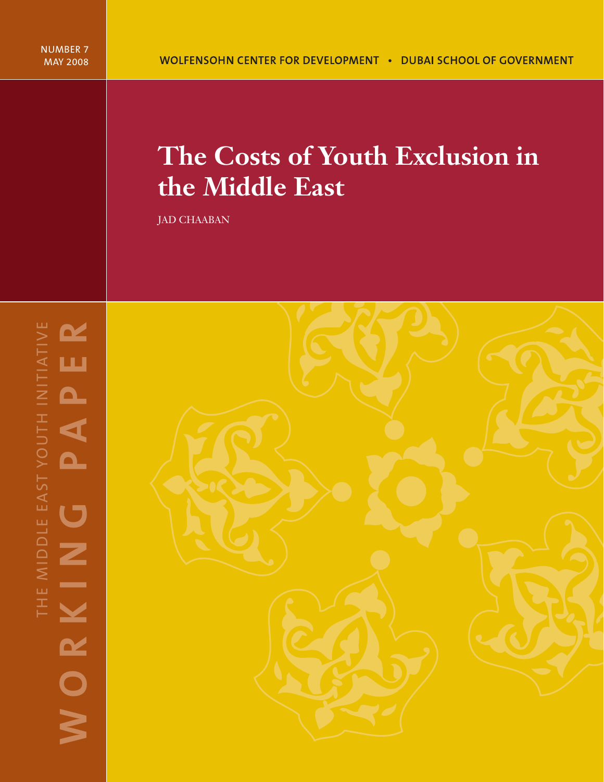# **The Costs of Youth Exclusion in the Middle East**

JAD CHAABAN

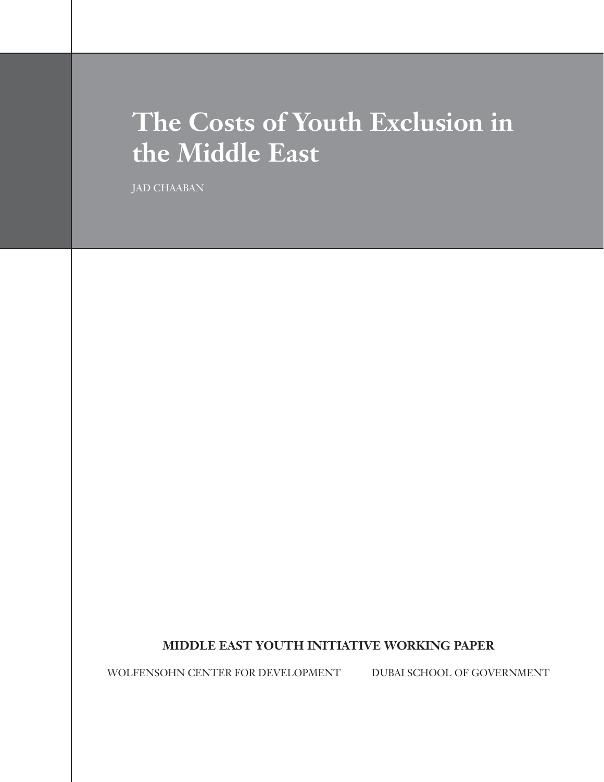# **The Costs of Youth Exclusion in the Middle East**

JAD CHAABAN

# **MIDDLE EAST YOUTH INITIATIVE WORKING PAPER**

WOLFENSOHN CENTER FOR DEVELOPMENT DUBAI SCHOOL OF GOVERNMENT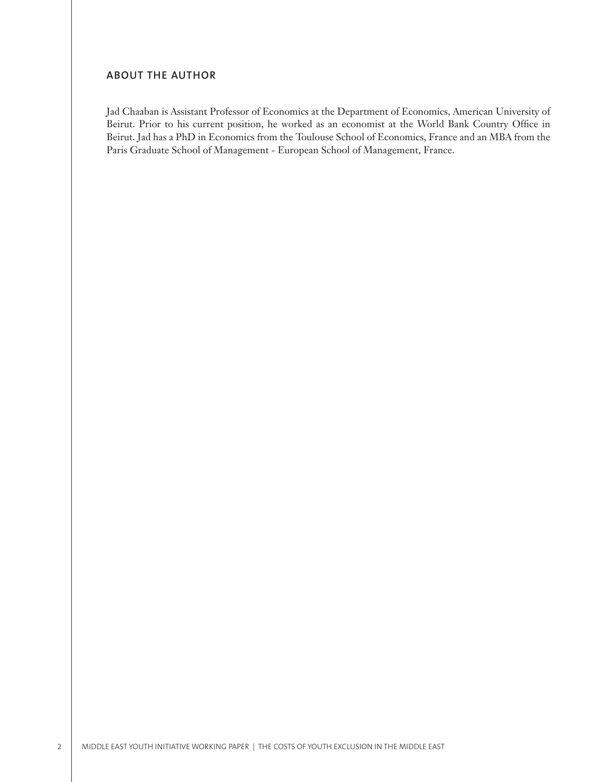# **ABOUT THE AUTHOR**

Jad Chaaban is Assistant Professor of Economics at the Department of Economics, American University of Beirut. Prior to his current position, he worked as an economist at the World Bank Country Office in Beirut. Jad has a PhD in Economics from the Toulouse School of Economics, France and an MBA from the Paris Graduate School of Management - European School of Management, France.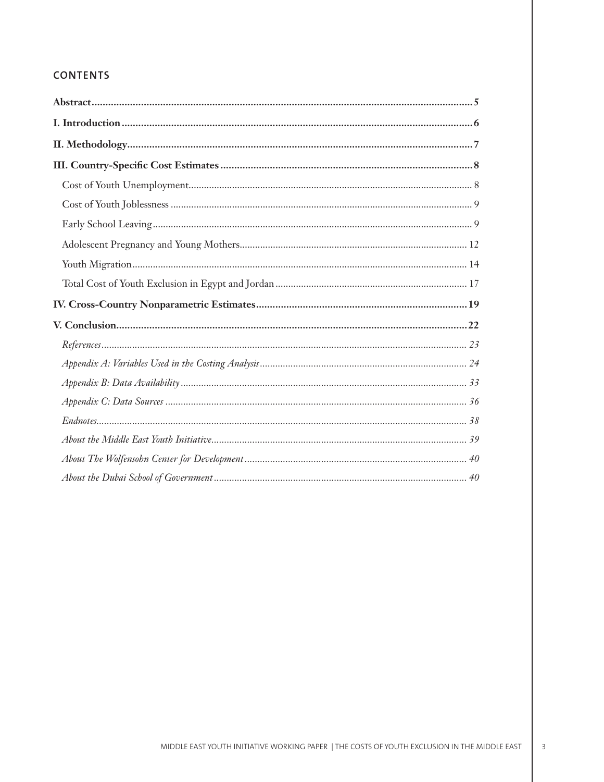# **CONTENTS**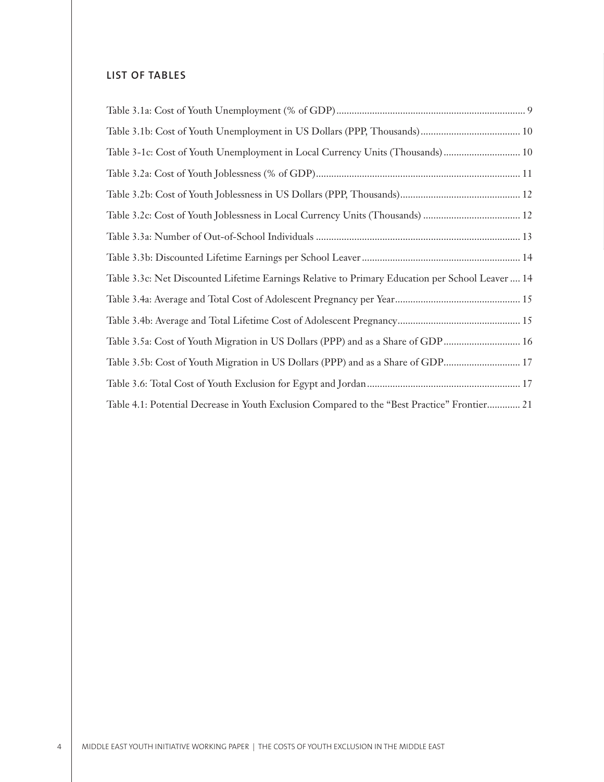# **LIST OF TABLES**

| Table 3-1c: Cost of Youth Unemployment in Local Currency Units (Thousands) 10                    |  |
|--------------------------------------------------------------------------------------------------|--|
|                                                                                                  |  |
|                                                                                                  |  |
|                                                                                                  |  |
|                                                                                                  |  |
|                                                                                                  |  |
| Table 3.3c: Net Discounted Lifetime Earnings Relative to Primary Education per School Leaver  14 |  |
|                                                                                                  |  |
|                                                                                                  |  |
| Table 3.5a: Cost of Youth Migration in US Dollars (PPP) and as a Share of GDP 16                 |  |
|                                                                                                  |  |
|                                                                                                  |  |
| Table 4.1: Potential Decrease in Youth Exclusion Compared to the "Best Practice" Frontier 21     |  |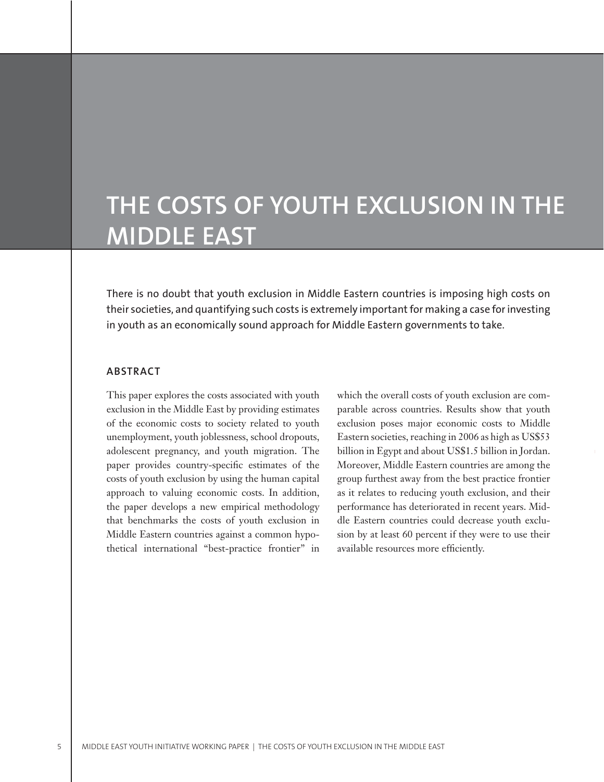# **THE COSTS OF YOUTH EXCLUSION IN THE MIDDLE EAST**

There is no doubt that youth exclusion in Middle Eastern countries is imposing high costs on their societies, and quantifying such costs is extremely important for making a case for investing in youth as an economically sound approach for Middle Eastern governments to take.

## **ABSTRACT**

This paper explores the costs associated with youth exclusion in the Middle East by providing estimates of the economic costs to society related to youth unemployment, youth joblessness, school dropouts, adolescent pregnancy, and youth migration. The paper provides country-specific estimates of the costs of youth exclusion by using the human capital approach to valuing economic costs. In addition, the paper develops a new empirical methodology that benchmarks the costs of youth exclusion in Middle Eastern countries against a common hypothetical international "best-practice frontier" in which the overall costs of youth exclusion are comparable across countries. Results show that youth exclusion poses major economic costs to Middle Eastern societies, reaching in 2006 as high as US\$53 billion in Egypt and about US\$1.5 billion in Jordan. Moreover, Middle Eastern countries are among the group furthest away from the best practice frontier as it relates to reducing youth exclusion, and their performance has deteriorated in recent years. Middle Eastern countries could decrease youth exclusion by at least 60 percent if they were to use their available resources more efficiently.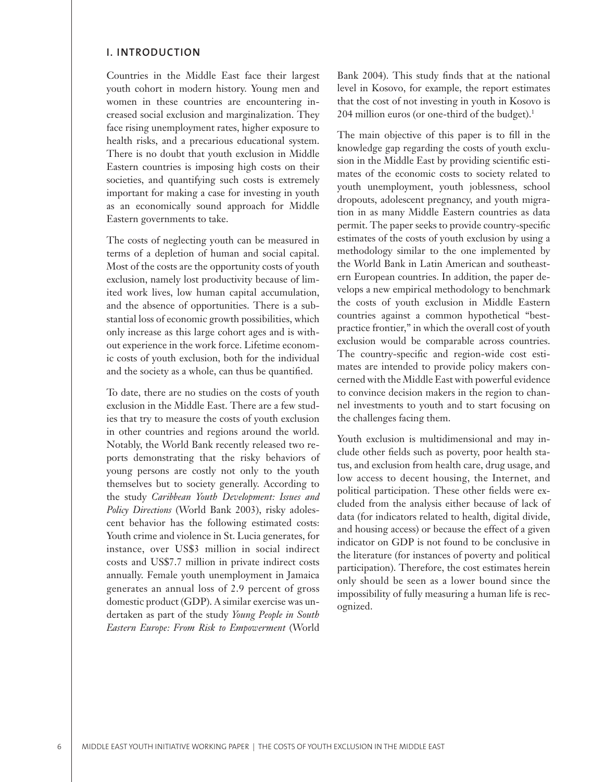### **I. INTRODUCTION**

Countries in the Middle East face their largest youth cohort in modern history. Young men and women in these countries are encountering increased social exclusion and marginalization. They face rising unemployment rates, higher exposure to health risks, and a precarious educational system. There is no doubt that youth exclusion in Middle Eastern countries is imposing high costs on their societies, and quantifying such costs is extremely important for making a case for investing in youth as an economically sound approach for Middle Eastern governments to take.

The costs of neglecting youth can be measured in terms of a depletion of human and social capital. Most of the costs are the opportunity costs of youth exclusion, namely lost productivity because of limited work lives, low human capital accumulation, and the absence of opportunities. There is a substantial loss of economic growth possibilities, which only increase as this large cohort ages and is without experience in the work force. Lifetime economic costs of youth exclusion, both for the individual and the society as a whole, can thus be quantified.

To date, there are no studies on the costs of youth exclusion in the Middle East. There are a few studies that try to measure the costs of youth exclusion in other countries and regions around the world. Notably, the World Bank recently released two reports demonstrating that the risky behaviors of young persons are costly not only to the youth themselves but to society generally. According to the study *Caribbean Youth Development: Issues and Policy Directions* (World Bank 2003), risky adolescent behavior has the following estimated costs: Youth crime and violence in St. Lucia generates, for instance, over US\$3 million in social indirect costs and US\$7.7 million in private indirect costs annually. Female youth unemployment in Jamaica generates an annual loss of 2.9 percent of gross domestic product (GDP). A similar exercise was undertaken as part of the study *Young People in South Eastern Europe: From Risk to Empowerment* (World

Bank 2004). This study finds that at the national level in Kosovo, for example, the report estimates that the cost of not investing in youth in Kosovo is 204 million euros (or one-third of the budget).<sup>1</sup>

The main objective of this paper is to fill in the knowledge gap regarding the costs of youth exclusion in the Middle East by providing scientific estimates of the economic costs to society related to youth unemployment, youth joblessness, school dropouts, adolescent pregnancy, and youth migration in as many Middle Eastern countries as data permit. The paper seeks to provide country-specific estimates of the costs of youth exclusion by using a methodology similar to the one implemented by the World Bank in Latin American and southeastern European countries. In addition, the paper develops a new empirical methodology to benchmark the costs of youth exclusion in Middle Eastern countries against a common hypothetical "bestpractice frontier," in which the overall cost of youth exclusion would be comparable across countries. The country-specific and region-wide cost estimates are intended to provide policy makers concerned with the Middle East with powerful evidence to convince decision makers in the region to channel investments to youth and to start focusing on the challenges facing them.

Youth exclusion is multidimensional and may include other fields such as poverty, poor health status, and exclusion from health care, drug usage, and low access to decent housing, the Internet, and political participation. These other fields were excluded from the analysis either because of lack of data (for indicators related to health, digital divide, and housing access) or because the effect of a given indicator on GDP is not found to be conclusive in the literature (for instances of poverty and political participation). Therefore, the cost estimates herein only should be seen as a lower bound since the impossibility of fully measuring a human life is recognized.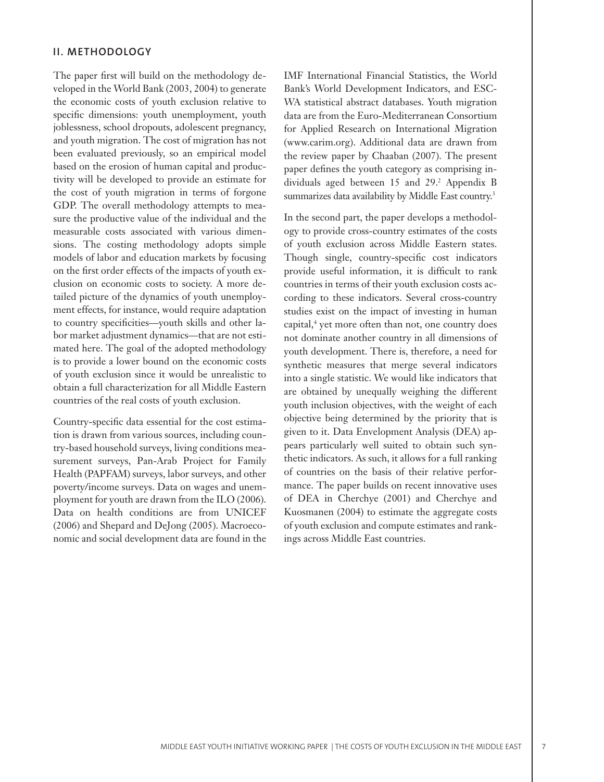## **II. METHODOLOGY**

The paper first will build on the methodology developed in the World Bank (2003, 2004) to generate the economic costs of youth exclusion relative to specific dimensions: youth unemployment, youth joblessness, school dropouts, adolescent pregnancy, and youth migration. The cost of migration has not been evaluated previously, so an empirical model based on the erosion of human capital and productivity will be developed to provide an estimate for the cost of youth migration in terms of forgone GDP. The overall methodology attempts to measure the productive value of the individual and the measurable costs associated with various dimensions. The costing methodology adopts simple models of labor and education markets by focusing on the first order effects of the impacts of youth exclusion on economic costs to society. A more detailed picture of the dynamics of youth unemployment effects, for instance, would require adaptation to country specificities—youth skills and other labor market adjustment dynamics—that are not estimated here. The goal of the adopted methodology is to provide a lower bound on the economic costs of youth exclusion since it would be unrealistic to obtain a full characterization for all Middle Eastern countries of the real costs of youth exclusion.

Country-specific data essential for the cost estimation is drawn from various sources, including country-based household surveys, living conditions measurement surveys, Pan-Arab Project for Family Health (PAPFAM) surveys, labor surveys, and other poverty/income surveys. Data on wages and unemployment for youth are drawn from the ILO (2006). Data on health conditions are from UNICEF (2006) and Shepard and DeJong (2005). Macroeconomic and social development data are found in the IMF International Financial Statistics, the World Bank's World Development Indicators, and ESC-WA statistical abstract databases. Youth migration data are from the Euro-Mediterranean Consortium for Applied Research on International Migration (www.carim.org). Additional data are drawn from the review paper by Chaaban (2007). The present paper defines the youth category as comprising individuals aged between 15 and 29.<sup>2</sup> Appendix B summarizes data availability by Middle East country.<sup>3</sup>

In the second part, the paper develops a methodology to provide cross-country estimates of the costs of youth exclusion across Middle Eastern states. Though single, country-specific cost indicators provide useful information, it is difficult to rank countries in terms of their youth exclusion costs according to these indicators. Several cross-country studies exist on the impact of investing in human capital,<sup>4</sup> yet more often than not, one country does not dominate another country in all dimensions of youth development. There is, therefore, a need for synthetic measures that merge several indicators into a single statistic. We would like indicators that are obtained by unequally weighing the different youth inclusion objectives, with the weight of each objective being determined by the priority that is given to it. Data Envelopment Analysis (DEA) appears particularly well suited to obtain such synthetic indicators. As such, it allows for a full ranking of countries on the basis of their relative performance. The paper builds on recent innovative uses of DEA in Cherchye (2001) and Cherchye and Kuosmanen (2004) to estimate the aggregate costs of youth exclusion and compute estimates and rankings across Middle East countries.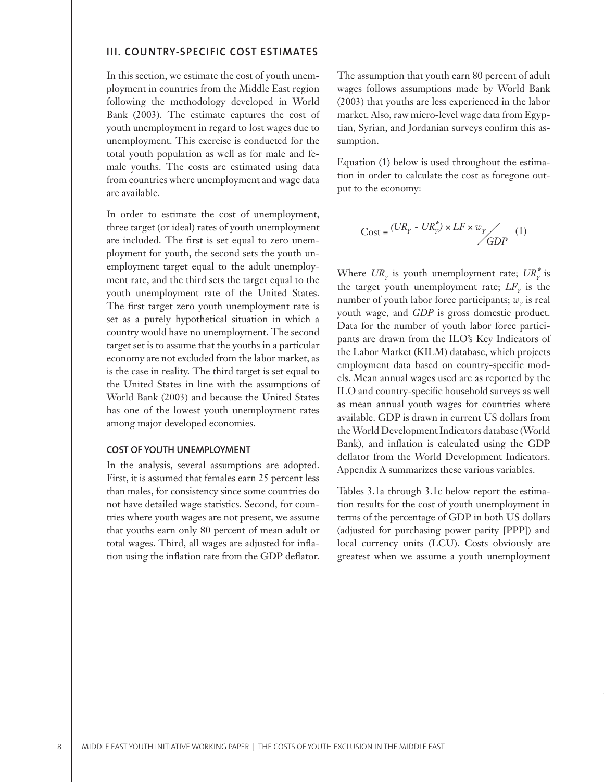#### **III. COUNTRY-SPECIFIC COST ESTIMATES**

In this section, we estimate the cost of youth unemployment in countries from the Middle East region following the methodology developed in World Bank (2003). The estimate captures the cost of youth unemployment in regard to lost wages due to unemployment. This exercise is conducted for the total youth population as well as for male and female youths. The costs are estimated using data from countries where unemployment and wage data are available.

In order to estimate the cost of unemployment, three target (or ideal) rates of youth unemployment are included. The first is set equal to zero unemployment for youth, the second sets the youth unemployment target equal to the adult unemployment rate, and the third sets the target equal to the youth unemployment rate of the United States. The first target zero youth unemployment rate is set as a purely hypothetical situation in which a country would have no unemployment. The second target set is to assume that the youths in a particular economy are not excluded from the labor market, as is the case in reality. The third target is set equal to the United States in line with the assumptions of World Bank (2003) and because the United States has one of the lowest youth unemployment rates among major developed economies.

### **COST OF YOUTH UNEMPLOYMENT**

In the analysis, several assumptions are adopted. First, it is assumed that females earn 25 percent less than males, for consistency since some countries do not have detailed wage statistics. Second, for countries where youth wages are not present, we assume that youths earn only 80 percent of mean adult or total wages. Third, all wages are adjusted for inflation using the inflation rate from the GDP deflator.

The assumption that youth earn 80 percent of adult wages follows assumptions made by World Bank (2003) that youths are less experienced in the labor market. Also, raw micro-level wage data from Egyptian, Syrian, and Jordanian surveys confirm this assumption.

Equation (1) below is used throughout the estimation in order to calculate the cost as foregone output to the economy:

$$
Cost = \frac{(UR_Y - UR_Y^*) \times LF \times w_Y}{GDP} \quad (1)
$$

Where  $\textit{UR}_Y$  is youth unemployment rate;  $\textit{UR}_Y^*$  is the target youth unemployment rate;  $LF<sub>y</sub>$  is the number of youth labor force participants;  $w<sub>y</sub>$  is real youth wage, and *GDP* is gross domestic product. Data for the number of youth labor force participants are drawn from the ILO's Key Indicators of the Labor Market (KILM) database, which projects employment data based on country-specific models. Mean annual wages used are as reported by the ILO and country-specific household surveys as well as mean annual youth wages for countries where available. GDP is drawn in current US dollars from the World Development Indicators database (World Bank), and inflation is calculated using the GDP deflator from the World Development Indicators. Appendix A summarizes these various variables.

Tables 3.1a through 3.1c below report the estimation results for the cost of youth unemployment in terms of the percentage of GDP in both US dollars (adjusted for purchasing power parity [PPP]) and local currency units (LCU). Costs obviously are greatest when we assume a youth unemployment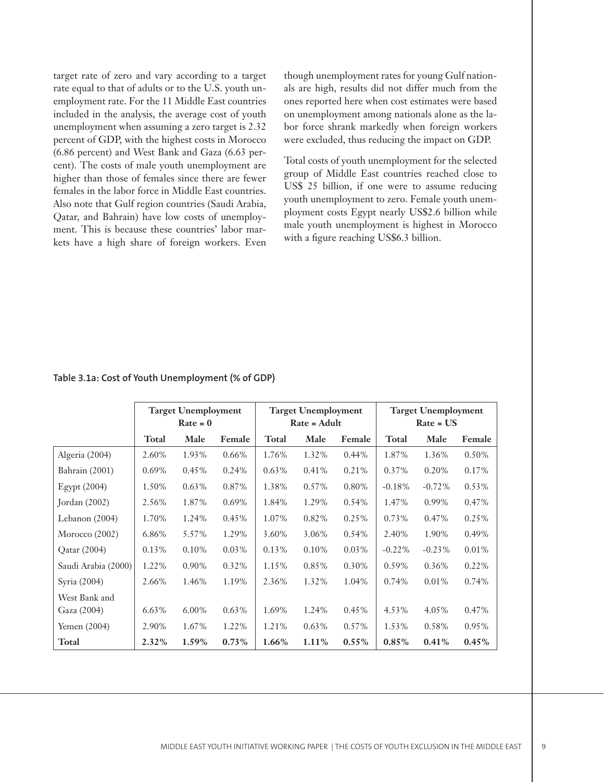target rate of zero and vary according to a target rate equal to that of adults or to the U.S. youth unemployment rate. For the 11 Middle East countries included in the analysis, the average cost of youth unemployment when assuming a zero target is 2.32 percent of GDP, with the highest costs in Morocco (6.86 percent) and West Bank and Gaza (6.63 percent). The costs of male youth unemployment are higher than those of females since there are fewer females in the labor force in Middle East countries. Also note that Gulf region countries (Saudi Arabia, Qatar, and Bahrain) have low costs of unemployment. This is because these countries' labor markets have a high share of foreign workers. Even

though unemployment rates for young Gulf nationals are high, results did not differ much from the ones reported here when cost estimates were based on unemployment among nationals alone as the labor force shrank markedly when foreign workers were excluded, thus reducing the impact on GDP.

Total costs of youth unemployment for the selected group of Middle East countries reached close to US\$ 25 billion, if one were to assume reducing youth unemployment to zero. Female youth unemployment costs Egypt nearly US\$2.6 billion while male youth unemployment is highest in Morocco with a figure reaching US\$6.3 billion.

|                     |          | <b>Target Unemployment</b> |          |          | <b>Target Unemployment</b> |          |          | <b>Target Unemployment</b> |        |
|---------------------|----------|----------------------------|----------|----------|----------------------------|----------|----------|----------------------------|--------|
|                     |          | $Rate = 0$                 |          |          | Rate = Adult               |          |          | $Rate = US$                |        |
|                     | Total    | Male                       | Female   | Total    | Male                       | Female   | Total    | Male                       | Female |
| Algeria (2004)      | 2.60%    | 1.93%                      | 0.66%    | 1.76%    | 1.32%                      | 0.44%    | 1.87%    | 1.36%                      | 0.50%  |
| Bahrain (2001)      | $0.69\%$ | 0.45%                      | 0.24%    | $0.63\%$ | 0.41%                      | 0.21%    | 0.37%    | 0.20%                      | 0.17%  |
| Egypt (2004)        | 1.50%    | 0.63%                      | 0.87%    | 1.38%    | 0.57%                      | 0.80%    | $-0.18%$ | $-0.72%$                   | 0.53%  |
| Jordan $(2002)$     | 2.56%    | 1.87%                      | 0.69%    | 1.84%    | 1.29%                      | 0.54%    | 1.47%    | 0.99%                      | 0.47%  |
| Lebanon (2004)      | 1.70%    | 1.24%                      | 0.45%    | 1.07%    | 0.82%                      | 0.25%    | 0.73%    | 0.47%                      | 0.25%  |
| Morocco $(2002)$    | 6.86%    | 5.57%                      | 1.29%    | 3.60%    | 3.06%                      | 0.54%    | 2.40%    | 1.90%                      | 0.49%  |
| Qatar (2004)        | 0.13%    | 0.10%                      | $0.03\%$ | 0.13%    | 0.10%                      | $0.03\%$ | $-0.22%$ | $-0.23%$                   | 0.01%  |
| Saudi Arabia (2000) | 1.22%    | 0.90%                      | 0.32%    | 1.15%    | 0.85%                      | $0.30\%$ | 0.59%    | 0.36%                      | 0.22%  |
| Syria (2004)        | 2.66%    | 1.46%                      | 1.19%    | 2.36%    | 1.32%                      | 1.04%    | 0.74%    | 0.01%                      | 0.74%  |
| West Bank and       |          |                            |          |          |                            |          |          |                            |        |
| Gaza (2004)         | 6.63%    | 6.00%                      | 0.63%    | 1.69%    | 1.24%                      | 0.45%    | 4.53%    | 4.05%                      | 0.47%  |
| Yemen (2004)        | 2.90%    | 1.67%                      | 1.22%    | 1.21%    | $0.63\%$                   | 0.57%    | 1.53%    | 0.58%                      | 0.95%  |
| Total               | 2.32%    | 1.59%                      | $0.73\%$ | $1.66\%$ | 1.11%                      | $0.55\%$ | $0.85\%$ | 0.41%                      | 0.45%  |

## **Table 3.1a: Cost of Youth Unemployment (% of GDP)**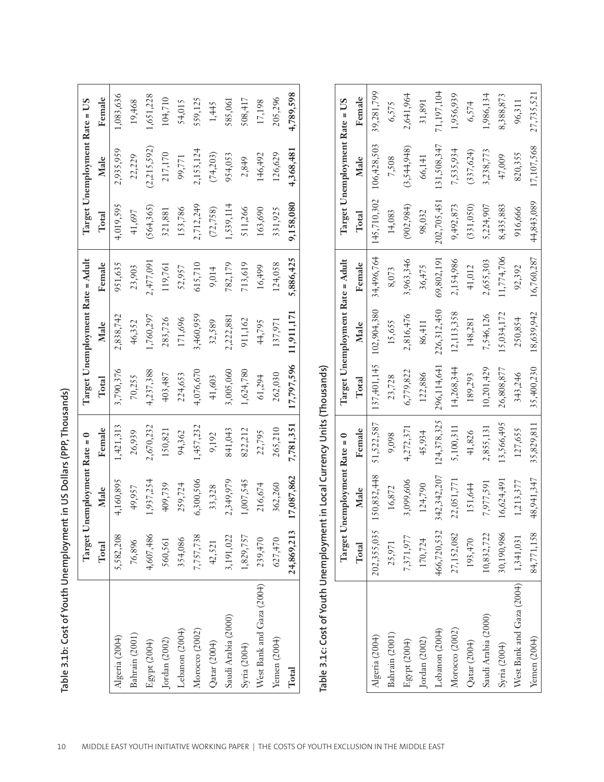| ï<br>ני<br>ّمٰاٰہ<br>$\frac{c}{2}$ |
|------------------------------------|
|                                    |
|                                    |
|                                    |
|                                    |
|                                    |
| $\frac{1}{2}$<br>i                 |
| `<br>خ<br>15.<br>1<br>(<br>נובי    |
| s plas                             |

|                                                                            | Target U    | Jnemployment Rate = 0        |             |             | Target Unemployment Rate = Adult |            |             | Target Unemployment Rate = US |            |
|----------------------------------------------------------------------------|-------------|------------------------------|-------------|-------------|----------------------------------|------------|-------------|-------------------------------|------------|
|                                                                            | Total       | Male                         | Female      | Total       | Male                             | Female     | Total       | Male                          | Female     |
| Algeria (2004)                                                             | 5,582,208   | 4,160,895                    | 1,421,313   | 3,790,376   | 2,838,742                        | 951,635    | 4,019,595   | 2,935,959                     | 1,083,636  |
| Bahrain (2001)                                                             | 76,896      | 49,957                       | 26,939      | 70,255      | 46,352                           | 23,903     | 41,697      | 22,229                        | 19,468     |
| Egypt (2004)                                                               | 4,607,486   | 1,937,254                    | 2,670,232   | 4,237,388   | 1,760,297                        | 2,477,091  | (564, 365)  | (2,215,592)                   | 1,651,228  |
| Jordan $(2002)$                                                            | 560,561     | 409,739                      | 150,821     | 403,487     | 283,726                          | 119,761    | 321,881     | 217,170                       | 104,710    |
| Lebanon (2004)                                                             | 354,086     | 259,724                      | 94,362      | 224,653     | 171,696                          | 52,957     | 153,786     | 99,771                        | 54,015     |
| Morocco (2002)                                                             | 7,757,738   | 6,300,506                    | 1,457,232   | 4,076,670   | 3,460,959                        | 615,710    | 2,712,249   | 2,153,124                     | 559,125    |
| Qatar (2004)                                                               | 42,521      | 33,328                       | 9,192       | 41,603      | 32,589                           | 9,014      | (72, 758)   | (74,203)                      | 1,445      |
| Saudi Arabia (2000)                                                        | 3,191,022   | 2,349,979                    | 841,043     | 3,005,060   | 2,222,881                        | 782,179    | 1,539,114   | 954,053                       | 585,061    |
| Syria (2004)                                                               | 1,829,757   | 1,007,545                    | 822,212     | 1,624,780   | 911,162                          | 713,619    | 511,266     | 2,849                         | 508,417    |
| West Bank and Gaza (2004)                                                  | 239,470     | 216,674                      | 22,795      | 61,294      | 44,795                           | 16,499     | 163,690     | 146,492                       | 17,198     |
| Yemen (2004)                                                               | 627,470     | 362,260                      | 265,210     | 262,030     | 137,971                          | 124,058    | 331,925     | 126,629                       | 205,296    |
| Total                                                                      | 24,869,213  | 17,087,862                   | 7,781,351   | 17,797,596  | 11,911,171                       | 5,886,425  | 9,158,080   | 4,368,481                     | 4,789,598  |
| Table 3.1c: Cost of Youth Unemployment in Local Currency Units (Thousands) |             |                              |             |             |                                  |            |             |                               |            |
|                                                                            |             | Target Unemployment Rate = 0 |             |             | Target Unemployment Rate = Adult |            |             | Target Unemployment Rate = US |            |
|                                                                            | Total       | Male                         | Female      | Total       | Male                             | Female     | Total       | Male                          | Female     |
| Algeria (2004)                                                             | 202,355,035 | 150,832,448                  | 51,522,587  | 137,401,145 | 102,904,380                      | 34,496,764 | 145,710,302 | 106,428,503                   | 39,281,799 |
| Bahrain (2001)                                                             | 25,971      | 16,872                       | 9,098       | 23,728      | 15,655                           | 8,073      | 14,083      | 7,508                         | 6,575      |
| Egypt (2004)                                                               | 7,371,977   | 3,099,606                    | 4,272,371   | 6,779,822   | 2,816,476                        | 3,963,346  | (902, 984)  | (3,544,948)                   | 2,641,964  |
| Jordan (2002)                                                              | 170,724     | 124,790                      | 45,934      | 122,886     | 86,411                           | 36,475     | 98,032      | 66,141                        | 31,891     |
| Lebanon (2004)                                                             | 466,720,532 | 342, 342, 207                | 124,378,325 | 296,114,641 | 226,312,450                      | 69,802,191 | 202,705,451 | 131,508,347                   | 71,197,104 |

|                                     | Target      | Unemployment Rate = 0 |             |               | Target Unemployment Rate = Adult |            |             | Target Unemployment Rate = US |            |
|-------------------------------------|-------------|-----------------------|-------------|---------------|----------------------------------|------------|-------------|-------------------------------|------------|
|                                     | Total       | Male                  | Female      | Total         | Male                             | Female     | Total       | Male                          | Female     |
| Algeria (2004)                      | 202,355,035 | 150,832,448           | 51,522,587  | 137, 401, 145 | 102,904,380                      | 34,496,764 | 145,710,302 | 106,428,503                   | 39,281,799 |
| Bahrain (2001)                      | 25,971      | 16,872                | 9,098       | 23,728        | 15,655                           | 8,073      | 14,083      | 7,508                         | 6,575      |
| Egypt (2004)                        | 7,371,977   | 3,099,606             | 4,272,371   | 6,779,822     | 2,816,476                        | 3,963,346  | (902, 984)  | (3,544,948)                   | 2,641,964  |
| Jordan (2002)                       | 170,724     | 124,790               | 45,934      | 122,886       | 86,411                           | 36,475     | 98,032      | 66,141                        | 31,891     |
| Lebanon (2004)                      | 466,720,532 | 342, 342, 207         | 124,378,325 | 296,114,641   | 226,312,450                      | 69,802,191 | 202,705,451 | 131,508,347                   | 71,197,104 |
| Morocco (2002)                      | 27,152,082  | 22,051,771            | 5,100,311   | 14,268,344    | 12,113,358                       | 2,154,986  | 9,492,873   | 7,535,934                     | 1,956,939  |
| Qatar (2004)                        | 193,470     | 151,644               | 41,826      | 189,293       | 148,281                          | 41,012     | (331,050)   | (337, 624)                    | 6,574      |
| Saudi Arabia (2000)                 | 10,832,722  | 7,977,591             | 2,855,131   | 10,201,429    | 7,546,126                        | 2,655,303  | 5,224,907   | 3,238,773                     | 1,986,134  |
| Syria (2004)                        | 30,190,986  | 16,624,491            | 13,566,495  | 26,808,877    | 15,034,172                       | 1,774,706  | 8,435,883   | 47,009                        | 8,388,873  |
| West Bank and Gaza (2004) 1,341,031 |             | 1,213,377             | 127,655     | 343,246       | 250,854                          | 92,392     | 916,666     | 820,355                       | 96,311     |
| Yemen (2004)                        | 84,771,158  | 48,941,347            | 35,829,811  | 35,400,230    | 18,639,942                       | 16,760,287 | 44,843,089  | 17,107,568                    | 27,735,521 |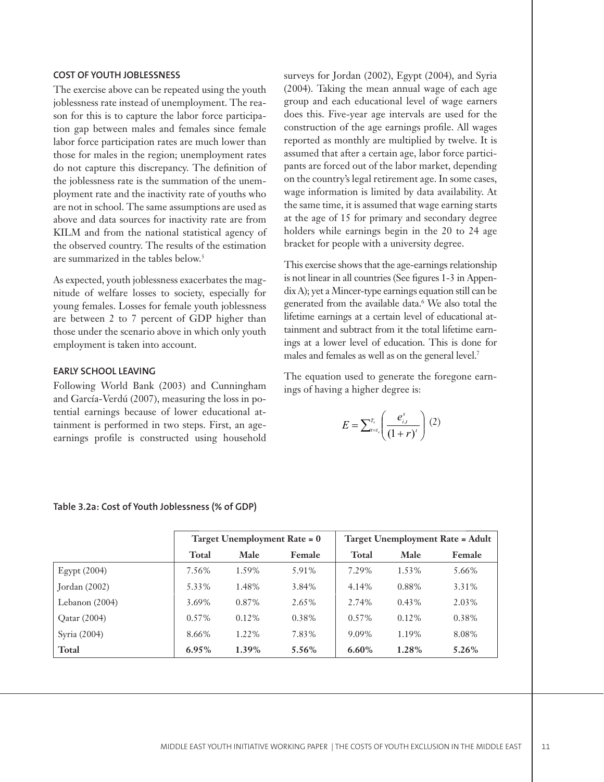#### **COST OF YOUTH JOBLESSNESS**

The exercise above can be repeated using the youth joblessness rate instead of unemployment. The reason for this is to capture the labor force participation gap between males and females since female labor force participation rates are much lower than those for males in the region; unemployment rates do not capture this discrepancy. The definition of the joblessness rate is the summation of the unemployment rate and the inactivity rate of youths who are not in school. The same assumptions are used as above and data sources for inactivity rate are from KILM and from the national statistical agency of the observed country. The results of the estimation are summarized in the tables below.<sup>5</sup>

As expected, youth joblessness exacerbates the magnitude of welfare losses to society, especially for young females. Losses for female youth joblessness are between 2 to 7 percent of GDP higher than those under the scenario above in which only youth employment is taken into account.

## **EARLY SCHOOL LEAVING**

Following World Bank (2003) and Cunningham and García-Verdú (2007), measuring the loss in potential earnings because of lower educational attainment is performed in two steps. First, an ageearnings profile is constructed using household surveys for Jordan (2002), Egypt (2004), and Syria (2004). Taking the mean annual wage of each age group and each educational level of wage earners does this. Five-year age intervals are used for the construction of the age earnings profile. All wages reported as monthly are multiplied by twelve. It is assumed that after a certain age, labor force participants are forced out of the labor market, depending on the country's legal retirement age. In some cases, wage information is limited by data availability. At the same time, it is assumed that wage earning starts at the age of 15 for primary and secondary degree holders while earnings begin in the 20 to 24 age bracket for people with a university degree.

This exercise shows that the age-earnings relationship is not linear in all countries (See figures 1-3 in Appendix A); yet a Mincer-type earnings equation still can be generated from the available data.6 We also total the lifetime earnings at a certain level of educational attainment and subtract from it the total lifetime earnings at a lower level of education. This is done for males and females as well as on the general level.<sup>7</sup>

The equation used to generate the foregone earnings of having a higher degree is:

$$
E = \sum_{t=t_s}^{T_s} \left( \frac{e_{i,t}^s}{(1+r)^t} \right) (2)
$$

|                |          | Target Unemployment Rate = 0 |        |          |          | <b>Target Unemployment Rate = Adult</b> |
|----------------|----------|------------------------------|--------|----------|----------|-----------------------------------------|
|                | Total    | Male                         | Female | Total    | Male     | Female                                  |
| Egypt $(2004)$ | 7.56%    | 1.59%                        | 5.91%  | 7.29%    | 1.53%    | 5.66%                                   |
| Jordan (2002)  | 5.33%    | 1.48%                        | 3.84%  | 4.14%    | 0.88%    | 3.31%                                   |
| Lebanon (2004) | 3.69%    | 0.87%                        | 2.65%  | 2.74%    | $0.43\%$ | 2.03%                                   |
| Qatar (2004)   | $0.57\%$ | $0.12\%$                     | 0.38%  | $0.57\%$ | 0.12%    | 0.38%                                   |
| Syria (2004)   | 8.66%    | 1.22%                        | 7.83%  | 9.09%    | 1.19%    | 8.08%                                   |
| Total          | $6.95\%$ | $1.39\%$                     | 5.56%  | $6.60\%$ | 1.28%    | 5.26%                                   |

**Table 3.2a: Cost of Youth Joblessness (% of GDP)**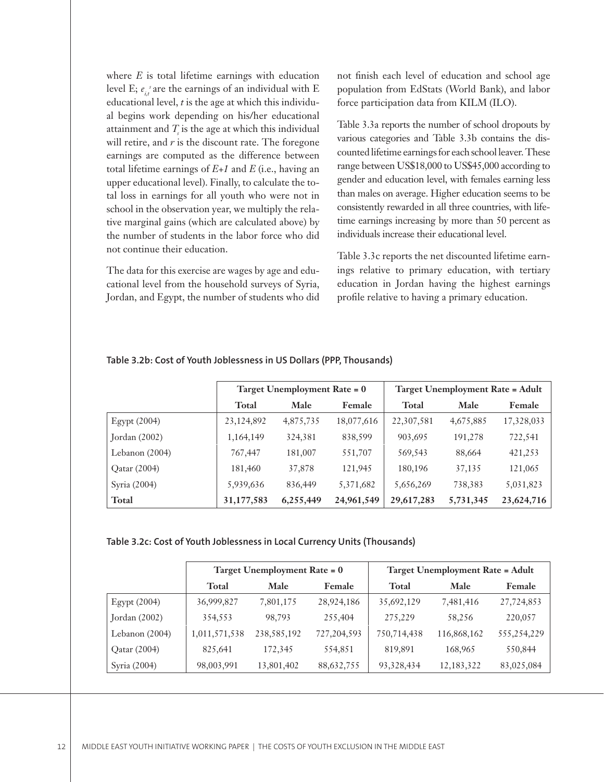where *E* is total lifetime earnings with education level E;  $e_{i,t}^s$  are the earnings of an individual with E educational level, *t* is the age at which this individual begins work depending on his/her educational attainment and  $T$  is the age at which this individual will retire, and  $r$  is the discount rate. The foregone earnings are computed as the difference between total lifetime earnings of *E+1* and *E* (i.e., having an upper educational level). Finally, to calculate the total loss in earnings for all youth who were not in school in the observation year, we multiply the relative marginal gains (which are calculated above) by the number of students in the labor force who did not continue their education.

The data for this exercise are wages by age and educational level from the household surveys of Syria, Jordan, and Egypt, the number of students who did not finish each level of education and school age population from EdStats (World Bank), and labor force participation data from KILM (ILO).

Table 3.3a reports the number of school dropouts by various categories and Table 3.3b contains the discounted lifetime earnings for each school leaver. These range between US\$18,000 to US\$45,000 according to gender and education level, with females earning less than males on average. Higher education seems to be consistently rewarded in all three countries, with lifetime earnings increasing by more than 50 percent as individuals increase their educational level.

Table 3.3c reports the net discounted lifetime earnings relative to primary education, with tertiary education in Jordan having the highest earnings profile relative to having a primary education.

|                 |              | Target Unemployment Rate = 0 |               |              | <b>Target Unemployment Rate = Adult</b> |            |
|-----------------|--------------|------------------------------|---------------|--------------|-----------------------------------------|------------|
|                 | Total        | Male                         | <b>Female</b> | <b>Total</b> | Male                                    | Female     |
| $E$ gypt (2004) | 23, 124, 892 | 4,875,735                    | 18,077,616    | 22,307,581   | 4,675,885                               | 17,328,033 |
| Jordan (2002)   | 1,164,149    | 324,381                      | 838,599       | 903,695      | 191,278                                 | 722,541    |
| Lebanon (2004)  | 767,447      | 181,007                      | 551,707       | 569,543      | 88,664                                  | 421,253    |
| Qatar (2004)    | 181,460      | 37,878                       | 121,945       | 180,196      | 37,135                                  | 121,065    |
| Syria (2004)    | 5,939,636    | 836,449                      | 5,371,682     | 5,656,269    | 738,383                                 | 5,031,823  |
| Total           | 31,177,583   | 6,255,449                    | 24,961,549    | 29,617,283   | 5,731,345                               | 23,624,716 |

#### **Table 3.2b: Cost of Youth Joblessness in US Dollars (PPP, Thousands)**

#### **Table 3.2c: Cost of Youth Joblessness in Local Currency Units (Thousands)**

|                 |               | <b>Target Unemployment Rate = 0</b> |               |              | <b>Target Unemployment Rate = Adult</b> |             |
|-----------------|---------------|-------------------------------------|---------------|--------------|-----------------------------------------|-------------|
|                 | Total         | Male                                | Female        | Total        | Male                                    | Female      |
| Egypt $(2004)$  | 36,999,827    | 7,801,175                           | 28,924,186    | 35,692,129   | 7,481,416                               | 27,724,853  |
| Jordan $(2002)$ | 354,553       | 98.793                              | 255,404       | 275,229      | 58,256                                  | 220,057     |
| Lebanon (2004)  | 1,011,571,538 | 238, 585, 192                       | 727, 204, 593 | 750,714,438  | 116,868,162                             | 555,254,229 |
| Qatar (2004)    | 825,641       | 172,345                             | 554,851       | 819,891      | 168,965                                 | 550,844     |
| Syria (2004)    | 98,003,991    | 13,801,402                          | 88,632,755    | 93, 328, 434 | 12, 183, 322                            | 83,025,084  |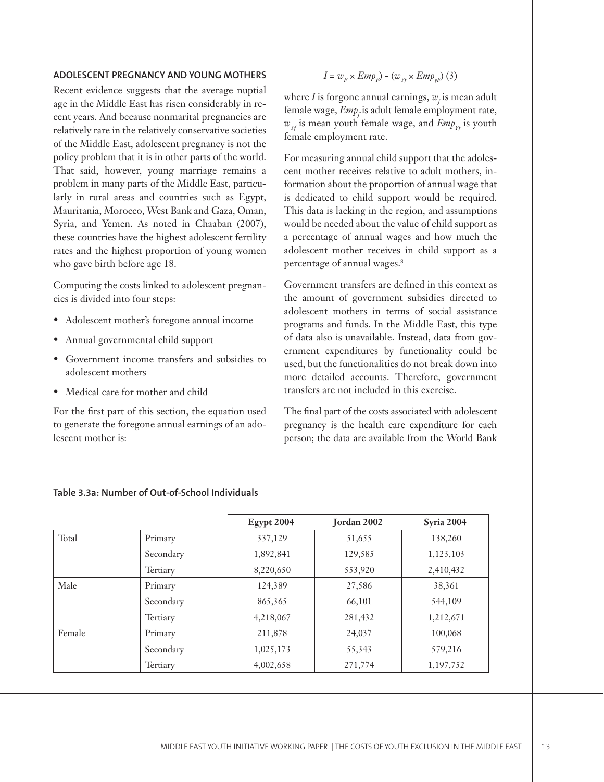#### **ADOLESCENT PREGNANCY AND YOUNG MOTHERS**

Recent evidence suggests that the average nuptial age in the Middle East has risen considerably in recent years. And because nonmarital pregnancies are relatively rare in the relatively conservative societies of the Middle East, adolescent pregnancy is not the policy problem that it is in other parts of the world. That said, however, young marriage remains a problem in many parts of the Middle East, particularly in rural areas and countries such as Egypt, Mauritania, Morocco, West Bank and Gaza, Oman, Syria, and Yemen. As noted in Chaaban (2007), these countries have the highest adolescent fertility rates and the highest proportion of young women who gave birth before age 18.

Computing the costs linked to adolescent pregnancies is divided into four steps:

- Adolescent mother's foregone annual income
- Annual governmental child support •
- Government income transfers and subsidies to adolescent mothers •
- Medical care for mother and child

For the first part of this section, the equation used to generate the foregone annual earnings of an adolescent mother is:

$$
I = w_F \times Emp_F) - (w_{Yf} \times Emp_{yF})
$$
 (3)

where *I* is forgone annual earnings,  $w_f$  is mean adult female wage,  $\mathit{Emp}_f$  is adult female employment rate,  $w_{Yf}$  is mean youth female wage, and  $Emp_{Yf}$  is youth female employment rate.

For measuring annual child support that the adolescent mother receives relative to adult mothers, information about the proportion of annual wage that is dedicated to child support would be required. This data is lacking in the region, and assumptions would be needed about the value of child support as a percentage of annual wages and how much the adolescent mother receives in child support as a percentage of annual wages.8

Government transfers are defined in this context as the amount of government subsidies directed to adolescent mothers in terms of social assistance programs and funds. In the Middle East, this type of data also is unavailable. Instead, data from government expenditures by functionality could be used, but the functionalities do not break down into more detailed accounts. Therefore, government transfers are not included in this exercise.

The final part of the costs associated with adolescent pregnancy is the health care expenditure for each person; the data are available from the World Bank

|        |           | <b>Egypt 2004</b> | Jordan 2002 | Syria 2004 |
|--------|-----------|-------------------|-------------|------------|
| Total  | Primary   | 337,129           | 51,655      | 138,260    |
|        | Secondary | 1,892,841         | 129,585     | 1,123,103  |
|        | Tertiary  | 8,220,650         | 553,920     | 2,410,432  |
| Male   | Primary   | 124,389           | 27,586      | 38,361     |
|        | Secondary | 865, 365          | 66,101      | 544,109    |
|        | Tertiary  | 4,218,067         | 281,432     | 1,212,671  |
| Female | Primary   | 211,878           | 24,037      | 100,068    |
|        | Secondary | 1,025,173         | 55,343      | 579,216    |
|        | Tertiary  | 4,002,658         | 271,774     | 1,197,752  |

#### **Table 3.3a: Number of Out-of-School Individuals**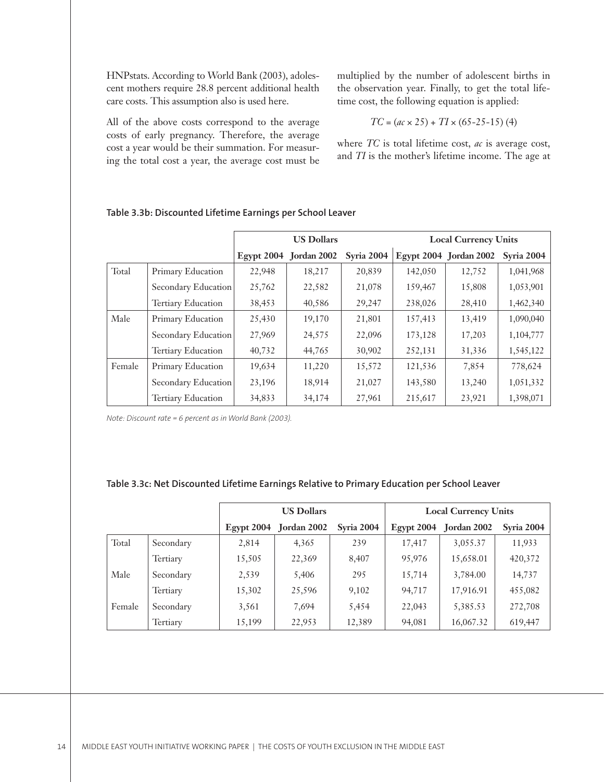HNPstats. According to World Bank (2003), adolescent mothers require 28.8 percent additional health care costs. This assumption also is used here.

All of the above costs correspond to the average costs of early pregnancy. Therefore, the average cost a year would be their summation. For measuring the total cost a year, the average cost must be multiplied by the number of adolescent births in the observation year. Finally, to get the total lifetime cost, the following equation is applied:

$$
TC = (ac \times 25) + TI \times (65-25-15) (4)
$$

where *TC* is total lifetime cost, *ac* is average cost, and *TI* is the mother's lifetime income. The age at

|        |                           |        | <b>US Dollars</b>      |                   |         | <b>Local Currency Units</b> |            |
|--------|---------------------------|--------|------------------------|-------------------|---------|-----------------------------|------------|
|        |                           |        | Egypt 2004 Jordan 2002 | <b>Syria 2004</b> |         | Egypt 2004 Jordan 2002      | Syria 2004 |
| Total  | Primary Education         | 22,948 | 18,217                 | 20,839            | 142,050 | 12,752                      | 1,041,968  |
|        | Secondary Education       | 25,762 | 22,582                 | 21,078            | 159,467 | 15,808                      | 1,053,901  |
|        | Tertiary Education        | 38,453 | 40,586                 | 29,247            | 238,026 | 28,410                      | 1,462,340  |
| Male   | Primary Education         | 25,430 | 19,170                 | 21,801            | 157,413 | 13,419                      | 1,090,040  |
|        | Secondary Education       | 27,969 | 24,575                 | 22,096            | 173,128 | 17,203                      | 1,104,777  |
|        | <b>Tertiary Education</b> | 40,732 | 44,765                 | 30,902            | 252,131 | 31,336                      | 1,545,122  |
| Female | Primary Education         | 19,634 | 11,220                 | 15,572            | 121,536 | 7,854                       | 778,624    |
|        | Secondary Education       | 23,196 | 18,914                 | 21,027            | 143,580 | 13,240                      | 1,051,332  |
|        | <b>Tertiary Education</b> | 34,833 | 34,174                 | 27,961            | 215,617 | 23,921                      | 1,398,071  |

## **Table 3.3b: Discounted Lifetime Earnings per School Leaver**

*Note: Discount rate = 6 percent as in World Bank (2003).*

### **Table 3.3c: Net Discounted Lifetime Earnings Relative to Primary Education per School Leaver**

|        |           |               | <b>US Dollars</b>  |            |               | <b>Local Currency Units</b> |                   |
|--------|-----------|---------------|--------------------|------------|---------------|-----------------------------|-------------------|
|        |           | $E$ gypt 2004 | <b>Jordan 2002</b> | Syria 2004 | $E$ gypt 2004 | Jordan 2002                 | <b>Syria 2004</b> |
| Total  | Secondary | 2,814         | 4,365              | 239        | 17,417        | 3,055.37                    | 11,933            |
|        | Tertiary  | 15,505        | 22,369             | 8,407      | 95,976        | 15,658.01                   | 420,372           |
| Male   | Secondary | 2,539         | 5,406              | 295        | 15,714        | 3,784.00                    | 14,737            |
|        | Tertiary  | 15,302        | 25,596             | 9,102      | 94,717        | 17,916.91                   | 455,082           |
| Female | Secondary | 3,561         | 7,694              | 5,454      | 22,043        | 5,385.53                    | 272,708           |
|        | Tertiary  | 15,199        | 22,953             | 12,389     | 94,081        | 16,067.32                   | 619,447           |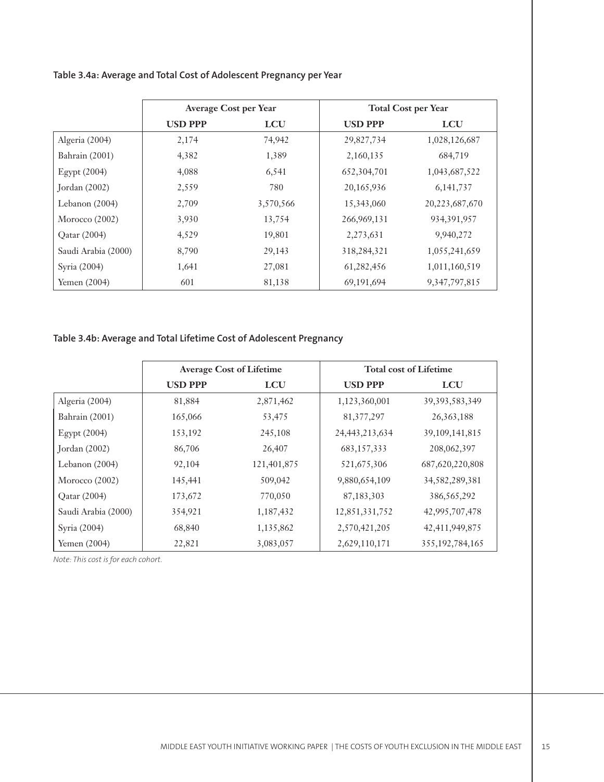|                     | <b>Average Cost per Year</b> |            |                | <b>Total Cost per Year</b> |
|---------------------|------------------------------|------------|----------------|----------------------------|
|                     | <b>USD PPP</b>               | <b>LCU</b> | <b>USD PPP</b> | <b>LCU</b>                 |
| Algeria (2004)      | 2,174                        | 74,942     | 29,827,734     | 1,028,126,687              |
| Bahrain (2001)      | 4,382                        | 1,389      | 2,160,135      | 684,719                    |
| Egypt $(2004)$      | 4,088                        | 6,541      | 652, 304, 701  | 1,043,687,522              |
| Jordan $(2002)$     | 2,559                        | 780        | 20,165,936     | 6, 141, 737                |
| Lebanon $(2004)$    | 2,709                        | 3,570,566  | 15,343,060     | 20, 223, 687, 670          |
| Morocco $(2002)$    | 3,930                        | 13,754     | 266,969,131    | 934, 391, 957              |
| Qatar (2004)        | 4,529                        | 19,801     | 2,273,631      | 9,940,272                  |
| Saudi Arabia (2000) | 8,790                        | 29,143     | 318,284,321    | 1,055,241,659              |
| Syria (2004)        | 1,641                        | 27,081     | 61,282,456     | 1,011,160,519              |
| Yemen $(2004)$      | 601                          | 81,138     | 69,191,694     | 9, 347, 797, 815           |

# **Table 3.4a: Average and Total Cost of Adolescent Pregnancy per Year**

# **Table 3.4b: Average and Total Lifetime Cost of Adolescent Pregnancy**

|                     |                | <b>Average Cost of Lifetime</b> |                   | <b>Total cost of Lifetime</b> |
|---------------------|----------------|---------------------------------|-------------------|-------------------------------|
|                     | <b>USD PPP</b> | <b>LCU</b>                      | <b>USD PPP</b>    | <b>LCU</b>                    |
| Algeria (2004)      | 81,884         | 2,871,462                       | 1,123,360,001     | 39, 393, 583, 349             |
| Bahrain (2001)      | 165,066        | 53,475                          | 81, 377, 297      | 26, 363, 188                  |
| Egypt $(2004)$      | 153,192        | 245,108                         | 24, 443, 213, 634 | 39, 109, 141, 815             |
| Jordan $(2002)$     | 86,706         | 26,407                          | 683, 157, 333     | 208,062,397                   |
| Lebanon $(2004)$    | 92,104         | 121,401,875                     | 521,675,306       | 687, 620, 220, 808            |
| Morocco $(2002)$    | 145,441        | 509,042                         | 9,880,654,109     | 34, 582, 289, 381             |
| Qatar (2004)        | 173,672        | 770,050                         | 87,183,303        | 386, 565, 292                 |
| Saudi Arabia (2000) | 354,921        | 1,187,432                       | 12,851,331,752    | 42,995,707,478                |
| Syria (2004)        | 68,840         | 1,135,862                       | 2,570,421,205     | 42, 411, 949, 875             |
| Yemen (2004)        | 22,821         | 3,083,057                       | 2,629,110,171     | 355, 192, 784, 165            |

*Note: This cost is for each cohort.*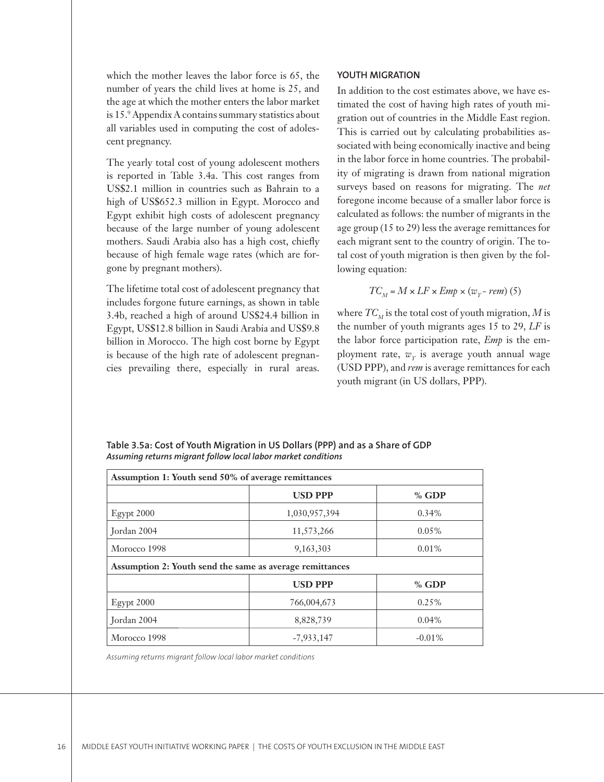which the mother leaves the labor force is 65, the number of years the child lives at home is 25, and the age at which the mother enters the labor market is 15.9 Appendix A contains summary statistics about all variables used in computing the cost of adolescent pregnancy.

The yearly total cost of young adolescent mothers is reported in Table 3.4a. This cost ranges from US\$2.1 million in countries such as Bahrain to a high of US\$652.3 million in Egypt. Morocco and Egypt exhibit high costs of adolescent pregnancy because of the large number of young adolescent mothers. Saudi Arabia also has a high cost, chiefly because of high female wage rates (which are forgone by pregnant mothers).

The lifetime total cost of adolescent pregnancy that includes forgone future earnings, as shown in table 3.4b, reached a high of around US\$24.4 billion in Egypt, US\$12.8 billion in Saudi Arabia and US\$9.8 billion in Morocco. The high cost borne by Egypt is because of the high rate of adolescent pregnancies prevailing there, especially in rural areas.

#### **YOUTH MIGRATION**

In addition to the cost estimates above, we have estimated the cost of having high rates of youth migration out of countries in the Middle East region. This is carried out by calculating probabilities associated with being economically inactive and being in the labor force in home countries. The probability of migrating is drawn from national migration surveys based on reasons for migrating. The *net* foregone income because of a smaller labor force is calculated as follows: the number of migrants in the age group (15 to 29) less the average remittances for each migrant sent to the country of origin. The total cost of youth migration is then given by the following equation:

$$
TC_{M} = M \times LF \times Emp \times (w_{Y} - rem) (5)
$$

where  $TC_M$  is the total cost of youth migration, M is the number of youth migrants ages 15 to 29, *LF* is the labor force participation rate, *Emp* is the employment rate,  $w_y$  is average youth annual wage (USD PPP), and *rem* is average remittances for each youth migrant (in US dollars, PPP).

| Assumption 1: Youth send 50% of average remittances      |                |          |  |  |  |  |  |
|----------------------------------------------------------|----------------|----------|--|--|--|--|--|
|                                                          | <b>USD PPP</b> | % GDP    |  |  |  |  |  |
| $E$ gypt 2000                                            | 1,030,957,394  | 0.34%    |  |  |  |  |  |
| Jordan 2004                                              | 11,573,266     | $0.05\%$ |  |  |  |  |  |
| Morocco 1998                                             | 9,163,303      | $0.01\%$ |  |  |  |  |  |
| Assumption 2: Youth send the same as average remittances |                |          |  |  |  |  |  |
|                                                          | <b>USD PPP</b> | $%$ GDP  |  |  |  |  |  |
| $E$ gypt 2000                                            | 766,004,673    | 0.25%    |  |  |  |  |  |
| Jordan 2004                                              | 8,828,739      | 0.04%    |  |  |  |  |  |
| Morocco 1998                                             | $-7,933,147$   | $-0.01%$ |  |  |  |  |  |

**Table 3.5a: Cost of Youth Migration in US Dollars (PPP) and as a Share of GDP** *Assuming returns migrant follow local labor market conditions*

*Assuming returns migrant follow local labor market conditions*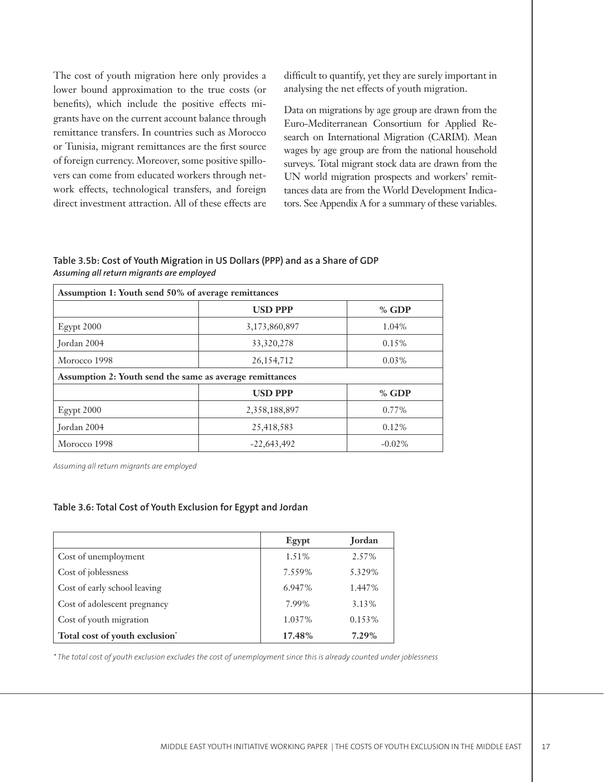The cost of youth migration here only provides a lower bound approximation to the true costs (or benefits), which include the positive effects migrants have on the current account balance through remittance transfers. In countries such as Morocco or Tunisia, migrant remittances are the first source of foreign currency. Moreover, some positive spillovers can come from educated workers through network effects, technological transfers, and foreign direct investment attraction. All of these effects are difficult to quantify, yet they are surely important in analysing the net effects of youth migration.

Data on migrations by age group are drawn from the Euro-Mediterranean Consortium for Applied Research on International Migration (CARIM). Mean wages by age group are from the national household surveys. Total migrant stock data are drawn from the UN world migration prospects and workers' remittances data are from the World Development Indicators. See Appendix A for a summary of these variables.

**Table 3.5b: Cost of Youth Migration in US Dollars (PPP) and as a Share of GDP** *Assuming all return migrants are employed*

| Assumption 1: Youth send 50% of average remittances      |                |           |  |  |  |  |  |  |
|----------------------------------------------------------|----------------|-----------|--|--|--|--|--|--|
|                                                          | <b>USD PPP</b> | $%$ GDP   |  |  |  |  |  |  |
| Egypt 2000                                               | 3,173,860,897  | 1.04%     |  |  |  |  |  |  |
| Tordan 2004                                              | 33, 320, 278   | 0.15%     |  |  |  |  |  |  |
| Morocco 1998                                             | 26,154,712     | $0.03\%$  |  |  |  |  |  |  |
| Assumption 2: Youth send the same as average remittances |                |           |  |  |  |  |  |  |
|                                                          | <b>USD PPP</b> | $%$ GDP   |  |  |  |  |  |  |
| $E$ gypt 2000                                            | 2,358,188,897  | 0.77%     |  |  |  |  |  |  |
| Tordan 2004                                              | 25,418,583     | $0.12\%$  |  |  |  |  |  |  |
| Morocco 1998                                             | $-22,643,492$  | $-0.02\%$ |  |  |  |  |  |  |

*Assuming all return migrants are employed*

#### **Table 3.6: Total Cost of Youth Exclusion for Egypt and Jordan**

|                                | Egypt  | Jordan   |
|--------------------------------|--------|----------|
| Cost of unemployment           | 1.51%  | 2.57%    |
| Cost of joblessness            | 7.559% | 5.329%   |
| Cost of early school leaving   | 6.947% | 1.447%   |
| Cost of adolescent pregnancy   | 7.99%  | 3.13%    |
| Cost of youth migration        | 1.037% | 0.153%   |
| Total cost of youth exclusion* | 17.48% | $7.29\%$ |

*\* The total cost of youth exclusion excludes the cost of unemployment since this is already counted under joblessness*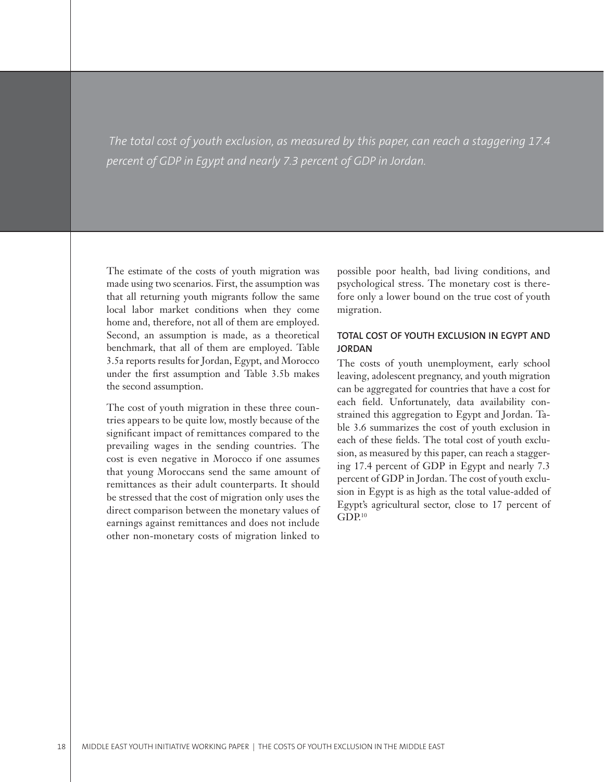*The total cost of youth exclusion, as measured by this paper, can reach a staggering 17.4 percent of GDP in Egypt and nearly 7.3 percent of GDP in Jordan.*

The estimate of the costs of youth migration was made using two scenarios. First, the assumption was that all returning youth migrants follow the same local labor market conditions when they come home and, therefore, not all of them are employed. Second, an assumption is made, as a theoretical benchmark, that all of them are employed. Table 3.5a reports results for Jordan, Egypt, and Morocco under the first assumption and Table 3.5b makes the second assumption.

The cost of youth migration in these three countries appears to be quite low, mostly because of the significant impact of remittances compared to the prevailing wages in the sending countries. The cost is even negative in Morocco if one assumes that young Moroccans send the same amount of remittances as their adult counterparts. It should be stressed that the cost of migration only uses the direct comparison between the monetary values of earnings against remittances and does not include other non-monetary costs of migration linked to

possible poor health, bad living conditions, and psychological stress. The monetary cost is therefore only a lower bound on the true cost of youth migration.

## **TOTAL COST OF YOUTH EXCLUSION IN EGYPT AND JORDAN**

The costs of youth unemployment, early school leaving, adolescent pregnancy, and youth migration can be aggregated for countries that have a cost for each field. Unfortunately, data availability constrained this aggregation to Egypt and Jordan. Table 3.6 summarizes the cost of youth exclusion in each of these fields. The total cost of youth exclusion, as measured by this paper, can reach a staggering 17.4 percent of GDP in Egypt and nearly 7.3 percent of GDP in Jordan. The cost of youth exclusion in Egypt is as high as the total value-added of Egypt's agricultural sector, close to 17 percent of  $GDP<sup>10</sup>$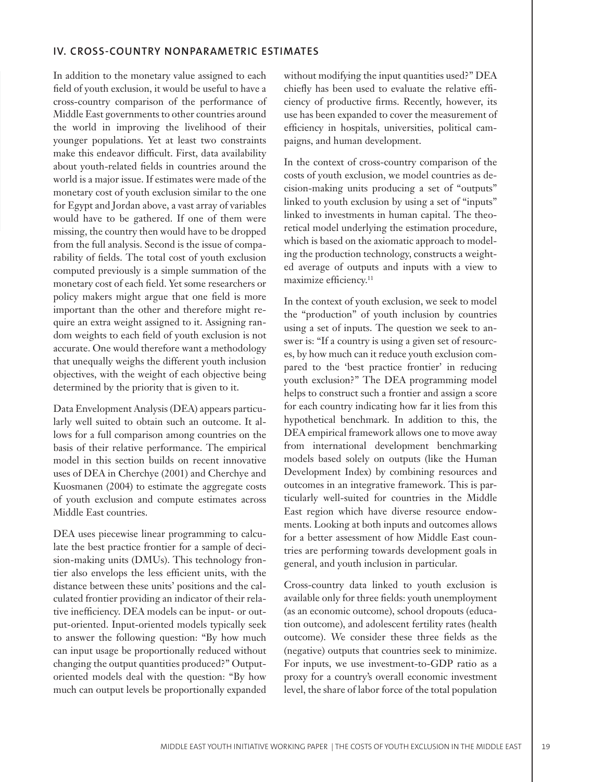## **IV. CROSS-COUNTRY NONPARAMETRIC ESTIMATES**

In addition to the monetary value assigned to each field of youth exclusion, it would be useful to have a cross-country comparison of the performance of Middle East governments to other countries around the world in improving the livelihood of their younger populations. Yet at least two constraints make this endeavor difficult. First, data availability about youth-related fields in countries around the world is a major issue. If estimates were made of the monetary cost of youth exclusion similar to the one for Egypt and Jordan above, a vast array of variables would have to be gathered. If one of them were missing, the country then would have to be dropped from the full analysis. Second is the issue of comparability of fields. The total cost of youth exclusion computed previously is a simple summation of the monetary cost of each field. Yet some researchers or policy makers might argue that one field is more important than the other and therefore might require an extra weight assigned to it. Assigning random weights to each field of youth exclusion is not accurate. One would therefore want a methodology that unequally weighs the different youth inclusion objectives, with the weight of each objective being determined by the priority that is given to it.

Data Envelopment Analysis (DEA) appears particularly well suited to obtain such an outcome. It allows for a full comparison among countries on the basis of their relative performance. The empirical model in this section builds on recent innovative uses of DEA in Cherchye (2001) and Cherchye and Kuosmanen (2004) to estimate the aggregate costs of youth exclusion and compute estimates across Middle East countries.

DEA uses piecewise linear programming to calculate the best practice frontier for a sample of decision-making units (DMUs). This technology frontier also envelops the less efficient units, with the distance between these units' positions and the calculated frontier providing an indicator of their relative inefficiency. DEA models can be input- or output-oriented. Input-oriented models typically seek to answer the following question: "By how much can input usage be proportionally reduced without changing the output quantities produced?" Outputoriented models deal with the question: "By how much can output levels be proportionally expanded

without modifying the input quantities used?" DEA chiefly has been used to evaluate the relative efficiency of productive firms. Recently, however, its use has been expanded to cover the measurement of efficiency in hospitals, universities, political campaigns, and human development.

In the context of cross-country comparison of the costs of youth exclusion, we model countries as decision-making units producing a set of "outputs" linked to youth exclusion by using a set of "inputs" linked to investments in human capital. The theoretical model underlying the estimation procedure, which is based on the axiomatic approach to modeling the production technology, constructs a weighted average of outputs and inputs with a view to maximize efficiency.<sup>11</sup>

In the context of youth exclusion, we seek to model the "production" of youth inclusion by countries using a set of inputs. The question we seek to answer is: "If a country is using a given set of resources, by how much can it reduce youth exclusion compared to the 'best practice frontier' in reducing youth exclusion?" The DEA programming model helps to construct such a frontier and assign a score for each country indicating how far it lies from this hypothetical benchmark. In addition to this, the DEA empirical framework allows one to move away from international development benchmarking models based solely on outputs (like the Human Development Index) by combining resources and outcomes in an integrative framework. This is particularly well-suited for countries in the Middle East region which have diverse resource endowments. Looking at both inputs and outcomes allows for a better assessment of how Middle East countries are performing towards development goals in general, and youth inclusion in particular.

Cross-country data linked to youth exclusion is available only for three fields: youth unemployment (as an economic outcome), school dropouts (education outcome), and adolescent fertility rates (health outcome). We consider these three fields as the (negative) outputs that countries seek to minimize. For inputs, we use investment-to-GDP ratio as a proxy for a country's overall economic investment level, the share of labor force of the total population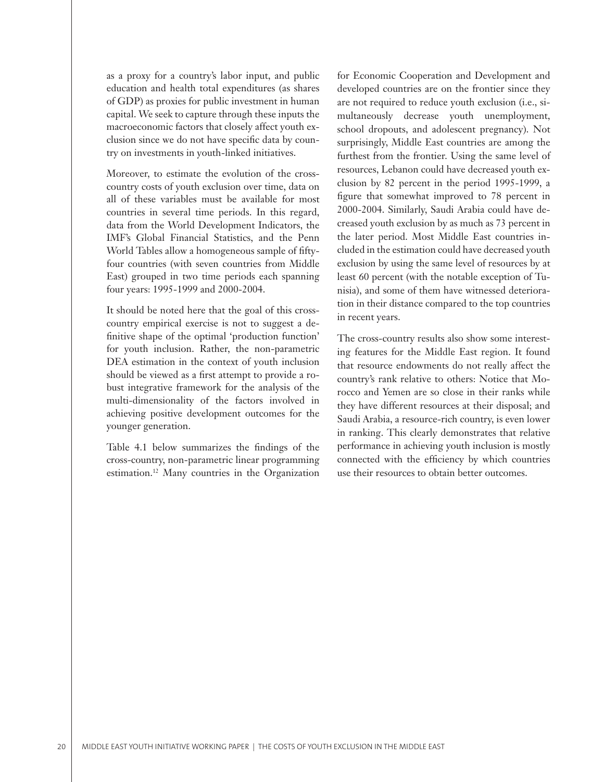as a proxy for a country's labor input, and public education and health total expenditures (as shares of GDP) as proxies for public investment in human capital. We seek to capture through these inputs the macroeconomic factors that closely affect youth exclusion since we do not have specific data by country on investments in youth-linked initiatives.

Moreover, to estimate the evolution of the crosscountry costs of youth exclusion over time, data on all of these variables must be available for most countries in several time periods. In this regard, data from the World Development Indicators, the IMF's Global Financial Statistics, and the Penn World Tables allow a homogeneous sample of fiftyfour countries (with seven countries from Middle East) grouped in two time periods each spanning four years: 1995-1999 and 2000-2004.

It should be noted here that the goal of this crosscountry empirical exercise is not to suggest a definitive shape of the optimal 'production function' for youth inclusion. Rather, the non-parametric DEA estimation in the context of youth inclusion should be viewed as a first attempt to provide a robust integrative framework for the analysis of the multi-dimensionality of the factors involved in achieving positive development outcomes for the younger generation.

Table 4.1 below summarizes the findings of the cross-country, non-parametric linear programming estimation.12 Many countries in the Organization

for Economic Cooperation and Development and developed countries are on the frontier since they are not required to reduce youth exclusion (i.e., simultaneously decrease youth unemployment, school dropouts, and adolescent pregnancy). Not surprisingly, Middle East countries are among the furthest from the frontier. Using the same level of resources, Lebanon could have decreased youth exclusion by 82 percent in the period 1995-1999, a figure that somewhat improved to 78 percent in 2000-2004. Similarly, Saudi Arabia could have decreased youth exclusion by as much as 73 percent in the later period. Most Middle East countries included in the estimation could have decreased youth exclusion by using the same level of resources by at least 60 percent (with the notable exception of Tunisia), and some of them have witnessed deterioration in their distance compared to the top countries in recent years.

The cross-country results also show some interesting features for the Middle East region. It found that resource endowments do not really affect the country's rank relative to others: Notice that Morocco and Yemen are so close in their ranks while they have different resources at their disposal; and Saudi Arabia, a resource-rich country, is even lower in ranking. This clearly demonstrates that relative performance in achieving youth inclusion is mostly connected with the efficiency by which countries use their resources to obtain better outcomes.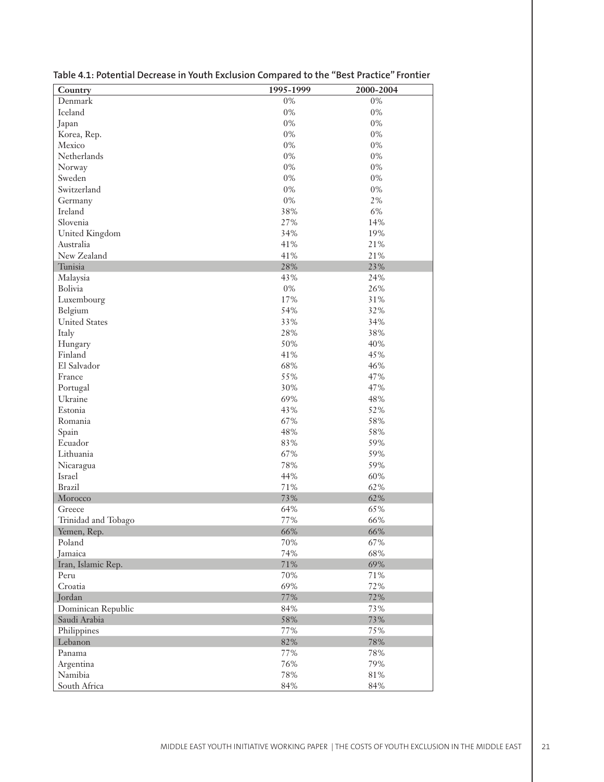| Country               | 1995-1999 | 2000-2004 |
|-----------------------|-----------|-----------|
| Denmark               | $0\%$     | $0\%$     |
| Iceland               | $0\%$     | $0\%$     |
| Japan                 | $0\%$     | $0\%$     |
| Korea, Rep.           | $0\%$     | $0\%$     |
| Mexico                | $0\%$     | $0\%$     |
| Netherlands           | 0%        | 0%        |
| Norway                | 0%        | $0\%$     |
| Sweden                | $0\%$     | 0%        |
| Switzerland           | $0\%$     | $0\%$     |
| Germany               | $0\%$     | 2%        |
| Ireland               | 38%       | $6\%$     |
| Slovenia              | 27%       | 14%       |
| <b>United Kingdom</b> | 34%       | 19%       |
| Australia             | 41%       | 21%       |
| New Zealand           | 41%       | 21%       |
| Tunisia               | 28%       | 23%       |
| Malaysia              | 43%       | 24%       |
| Bolivia               | $0\%$     | 26%       |
| Luxembourg            | 17%       | 31%       |
| Belgium               | 54%       | 32%       |
| <b>United States</b>  | 33%       | 34%       |
| Italy                 | 28%       | 38%       |
| Hungary               | 50%       | 40%       |
| Finland               | 41%       | 45%       |
| El Salvador           | 68%       | 46%       |
| France                | 55%       | 47%       |
| Portugal              | 30%       | 47%       |
| Ukraine               | 69%       | 48%       |
| Estonia               | 43%       | 52%       |
| Romania               | 67%       | 58%       |
| Spain                 | 48%       | 58%       |
| Ecuador               | 83%       | 59%       |
| Lithuania             | 67%       | 59%       |
| Nicaragua             | 78%       | 59%       |
| Israel                | 44%       | 60%       |
| <b>Brazil</b>         | $71\%$    | 62%       |
| Morocco               | 73%       | 62%       |
| Greece                | 64%       | 65%       |
| Trinidad and Tobago   | 77%       | 66%       |
| Yemen, Rep.           | 66%       | 66%       |
| Poland                | $70\%$    | 67%       |
| Jamaica               | 74%       | 68%       |
| Iran, Islamic Rep.    | 71%       | 69%       |
| Peru                  | $70\%$    | $71\%$    |
| Croatia               | 69%       | 72%       |
| Jordan                | 77%       | 72%       |
| Dominican Republic    | 84%       | 73%       |
| Saudi Arabia          | $58\%$    | 73%       |
| Philippines           | $77\%$    | 75%       |
| Lebanon               | 82%       | 78%       |
| Panama                | 77%       | $78\%$    |
| Argentina             | $76\%$    | 79%       |
| Namibia               | 78%       | $81\%$    |
| South Africa          | 84%       | 84%       |

**Table 4.1: Potential Decrease in Youth Exclusion Compared to the "Best Practice" Frontier**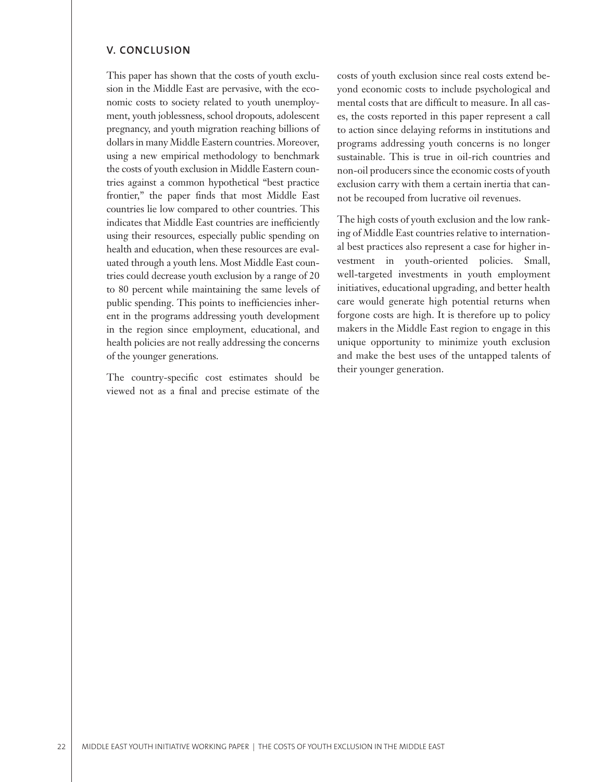## **V. CONCLUSION**

This paper has shown that the costs of youth exclusion in the Middle East are pervasive, with the economic costs to society related to youth unemployment, youth joblessness, school dropouts, adolescent pregnancy, and youth migration reaching billions of dollars in many Middle Eastern countries. Moreover, using a new empirical methodology to benchmark the costs of youth exclusion in Middle Eastern countries against a common hypothetical "best practice frontier," the paper finds that most Middle East countries lie low compared to other countries. This indicates that Middle East countries are inefficiently using their resources, especially public spending on health and education, when these resources are evaluated through a youth lens. Most Middle East countries could decrease youth exclusion by a range of 20 to 80 percent while maintaining the same levels of public spending. This points to inefficiencies inherent in the programs addressing youth development in the region since employment, educational, and health policies are not really addressing the concerns of the younger generations.

The country-specific cost estimates should be viewed not as a final and precise estimate of the costs of youth exclusion since real costs extend beyond economic costs to include psychological and mental costs that are difficult to measure. In all cases, the costs reported in this paper represent a call to action since delaying reforms in institutions and programs addressing youth concerns is no longer sustainable. This is true in oil-rich countries and non-oil producers since the economic costs of youth exclusion carry with them a certain inertia that cannot be recouped from lucrative oil revenues.

The high costs of youth exclusion and the low ranking of Middle East countries relative to international best practices also represent a case for higher investment in youth-oriented policies. Small, well-targeted investments in youth employment initiatives, educational upgrading, and better health care would generate high potential returns when forgone costs are high. It is therefore up to policy makers in the Middle East region to engage in this unique opportunity to minimize youth exclusion and make the best uses of the untapped talents of their younger generation.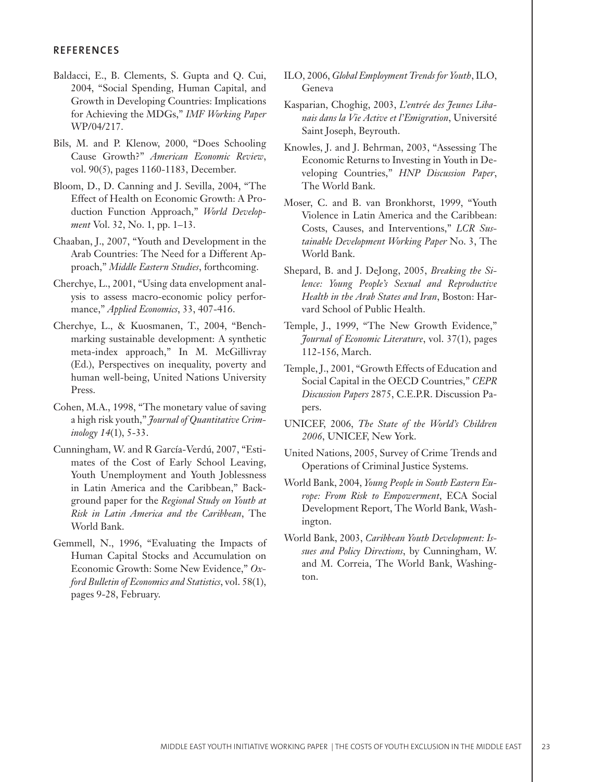## **REFERENCES**

- Baldacci, E., B. Clements, S. Gupta and Q. Cui, 2004, "Social Spending, Human Capital, and Growth in Developing Countries: Implications for Achieving the MDGs," *IMF Working Paper*  WP/04/217.
- Bils, M. and P. Klenow, 2000, "Does Schooling Cause Growth?" *American Economic Review*, vol. 90(5), pages 1160-1183, December.
- Bloom, D., D. Canning and J. Sevilla, 2004, "The Effect of Health on Economic Growth: A Production Function Approach," *World Development* Vol. 32, No. 1, pp. 1–13.
- Chaaban, J., 2007, "Youth and Development in the Arab Countries: The Need for a Different Approach," *Middle Eastern Studies*, forthcoming.
- Cherchye, L., 2001, "Using data envelopment analysis to assess macro-economic policy performance," *Applied Economics*, 33, 407-416.
- Cherchye, L., & Kuosmanen, T., 2004, "Benchmarking sustainable development: A synthetic meta-index approach," In M. McGillivray (Ed.), Perspectives on inequality, poverty and human well-being, United Nations University Press.
- Cohen, M.A., 1998, "The monetary value of saving a high risk youth," *Journal of Quantitative Criminology 14*(1), 5-33.
- Cunningham, W. and R García-Verdú, 2007, "Estimates of the Cost of Early School Leaving, Youth Unemployment and Youth Joblessness in Latin America and the Caribbean," Background paper for the *Regional Study on Youth at Risk in Latin America and the Caribbean*, The World Bank.
- Gemmell, N., 1996, "Evaluating the Impacts of Human Capital Stocks and Accumulation on Economic Growth: Some New Evidence," *Oxford Bulletin of Economics and Statistics*, vol. 58(1), pages 9-28, February.
- ILO, 2006, *Global Employment Trends for Youth*, ILO, Geneva
- Kasparian, Choghig, 2003, *L'entrée des Jeunes Libanais dans la Vie Active et l'Emigration*, Université Saint Joseph, Beyrouth.
- Knowles, J. and J. Behrman, 2003, "Assessing The Economic Returns to Investing in Youth in Developing Countries," *HNP Discussion Paper*, The World Bank.
- Moser, C. and B. van Bronkhorst, 1999, "Youth Violence in Latin America and the Caribbean: Costs, Causes, and Interventions," *LCR Sustainable Development Working Paper* No. 3, The World Bank.
- Shepard, B. and J. DeJong, 2005, *Breaking the Silence: Young People's Sexual and Reproductive Health in the Arab States and Iran*, Boston: Harvard School of Public Health.
- Temple, J., 1999, "The New Growth Evidence," *Journal of Economic Literature*, vol. 37(1), pages 112-156, March.
- Temple, J., 2001, "Growth Effects of Education and Social Capital in the OECD Countries," *CEPR Discussion Papers* 2875, C.E.P.R. Discussion Papers.
- UNICEF, 2006, *The State of the World's Children 2006*, UNICEF, New York.
- United Nations, 2005, Survey of Crime Trends and Operations of Criminal Justice Systems.
- World Bank, 2004, *Young People in South Eastern Europe: From Risk to Empowerment*, ECA Social Development Report, The World Bank, Washington.
- World Bank, 2003, *Caribbean Youth Development: Issues and Policy Directions*, by Cunningham, W. and M. Correia, The World Bank, Washington.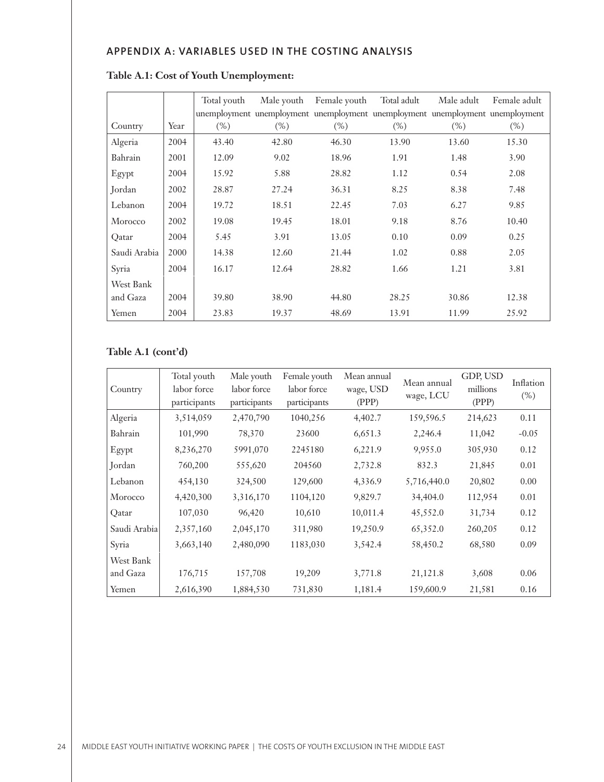# **APPENDIX A: VARIABLES USED IN THE COSTING ANALYSIS**

|              |      | Total youth |        | Male youth Female youth | Total adult | Male adult | Female adult                                                                  |
|--------------|------|-------------|--------|-------------------------|-------------|------------|-------------------------------------------------------------------------------|
|              |      |             |        |                         |             |            | unemployment unemployment unemployment unemployment unemployment unemployment |
| Country      | Year | $(\%)$      | $(\%)$ | $(\%)$                  | $(\%)$      | $(\%)$     | $(\%)$                                                                        |
| Algeria      | 2004 | 43.40       | 42.80  | 46.30                   | 13.90       | 13.60      | 15.30                                                                         |
| Bahrain      | 2001 | 12.09       | 9.02   | 18.96                   | 1.91        | 1.48       | 3.90                                                                          |
| Egypt        | 2004 | 15.92       | 5.88   | 28.82                   | 1.12        | 0.54       | 2.08                                                                          |
| Jordan       | 2002 | 28.87       | 27.24  | 36.31                   | 8.25        | 8.38       | 7.48                                                                          |
| Lebanon      | 2004 | 19.72       | 18.51  | 22.45                   | 7.03        | 6.27       | 9.85                                                                          |
| Morocco      | 2002 | 19.08       | 19.45  | 18.01                   | 9.18        | 8.76       | 10.40                                                                         |
| Qatar        | 2004 | 5.45        | 3.91   | 13.05                   | 0.10        | 0.09       | 0.25                                                                          |
| Saudi Arabia | 2000 | 14.38       | 12.60  | 21.44                   | 1.02        | 0.88       | 2.05                                                                          |
| Syria        | 2004 | 16.17       | 12.64  | 28.82                   | 1.66        | 1.21       | 3.81                                                                          |
| West Bank    |      |             |        |                         |             |            |                                                                               |
| and Gaza     | 2004 | 39.80       | 38.90  | 44.80                   | 28.25       | 30.86      | 12.38                                                                         |
| Yemen        | 2004 | 23.83       | 19.37  | 48.69                   | 13.91       | 11.99      | 25.92                                                                         |

# **Table A.1: Cost of Youth Unemployment:**

# **Table A.1 (cont'd)**

| Country      | Total youth<br>labor force<br>participants | Male youth<br>labor force<br>participants | Female youth<br>labor force<br>participants | Mean annual<br>wage, USD<br>(PPP) | Mean annual<br>wage, LCU | GDP, USD<br>millions<br>(PPP) | Inflation<br>$(\% )$ |
|--------------|--------------------------------------------|-------------------------------------------|---------------------------------------------|-----------------------------------|--------------------------|-------------------------------|----------------------|
| Algeria      | 3,514,059                                  | 2,470,790                                 | 1040,256                                    | 4,402.7                           | 159,596.5                | 214,623                       | 0.11                 |
| Bahrain      | 101,990                                    | 78,370                                    | 23600                                       | 6,651.3                           | 2,246.4                  | 11,042                        | $-0.05$              |
| Egypt        | 8,236,270                                  | 5991,070                                  | 2245180                                     | 6,221.9                           | 9,955.0                  | 305,930                       | 0.12                 |
| Jordan       | 760,200                                    | 555,620                                   | 204560                                      | 2,732.8                           | 832.3                    | 21,845                        | 0.01                 |
| Lebanon      | 454,130                                    | 324,500                                   | 129,600                                     | 4,336.9                           | 5,716,440.0              | 20,802                        | 0.00                 |
| Morocco      | 4,420,300                                  | 3,316,170                                 | 1104,120                                    | 9,829.7                           | 34,404.0                 | 112,954                       | 0.01                 |
| Qatar        | 107,030                                    | 96,420                                    | 10,610                                      | 10,011.4                          | 45,552.0                 | 31,734                        | 0.12                 |
| Saudi Arabia | 2,357,160                                  | 2,045,170                                 | 311,980                                     | 19,250.9                          | 65,352.0                 | 260,205                       | 0.12                 |
| Syria        | 3,663,140                                  | 2,480,090                                 | 1183,030                                    | 3,542.4                           | 58,450.2                 | 68,580                        | 0.09                 |
| West Bank    |                                            |                                           |                                             |                                   |                          |                               |                      |
| and Gaza     | 176,715                                    | 157,708                                   | 19,209                                      | 3,771.8                           | 21,121.8                 | 3,608                         | 0.06                 |
| Yemen        | 2,616,390                                  | 1,884,530                                 | 731,830                                     | 1,181.4                           | 159,600.9                | 21,581                        | 0.16                 |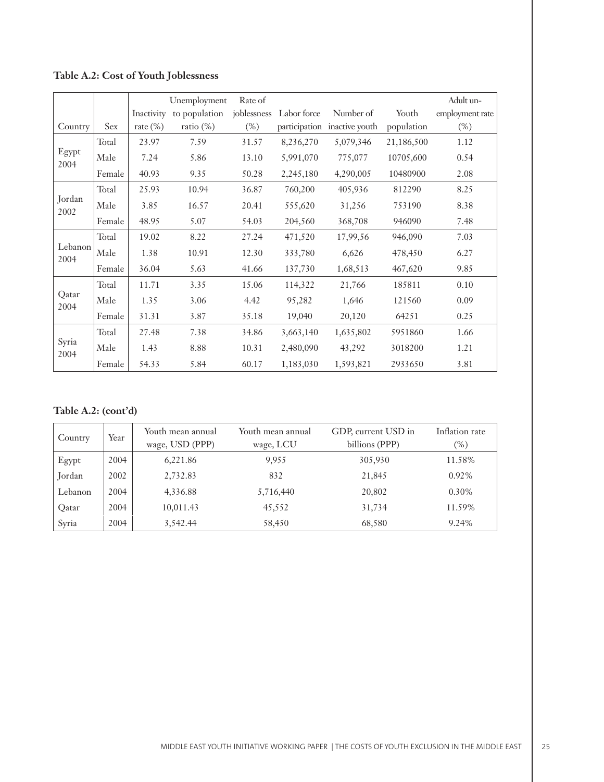# **Table A.2: Cost of Youth Joblessness**

|                 |        |             | Unemployment  | Rate of     |             |                              |            | Adult un-       |
|-----------------|--------|-------------|---------------|-------------|-------------|------------------------------|------------|-----------------|
|                 |        | Inactivity  | to population | joblessness | Labor force | Number of                    | Youth      | employment rate |
| Country         | Sex    | rate $(\%)$ | ratio $(\%)$  | $(\%)$      |             | participation inactive youth | population | $(\%)$          |
|                 | Total  | 23.97       | 7.59          | 31.57       | 8,236,270   | 5,079,346                    | 21,186,500 | 1.12            |
| Egypt<br>2004   | Male   | 7.24        | 5.86          | 13.10       | 5,991,070   | 775,077                      | 10705,600  | 0.54            |
|                 | Female | 40.93       | 9.35          | 50.28       | 2,245,180   | 4,290,005                    | 10480900   | 2.08            |
|                 | Total  | 25.93       | 10.94         | 36.87       | 760,200     | 405,936                      | 812290     | 8.25            |
| Jordan          | Male   | 3.85        | 16.57         | 20.41       | 555,620     | 31,256                       | 753190     | 8.38            |
| 2002            | Female | 48.95       | 5.07          | 54.03       | 204,560     | 368,708                      | 946090     | 7.48            |
|                 | Total  | 19.02       | 8.22          | 27.24       | 471,520     | 17,99,56                     | 946,090    | 7.03            |
| Lebanon<br>2004 | Male   | 1.38        | 10.91         | 12.30       | 333,780     | 6,626                        | 478,450    | 6.27            |
|                 | Female | 36.04       | 5.63          | 41.66       | 137,730     | 1,68,513                     | 467,620    | 9.85            |
|                 | Total  | 11.71       | 3.35          | 15.06       | 114,322     | 21,766                       | 185811     | 0.10            |
| Qatar<br>2004   | Male   | 1.35        | 3.06          | 4.42        | 95,282      | 1,646                        | 121560     | 0.09            |
|                 | Female | 31.31       | 3.87          | 35.18       | 19,040      | 20,120                       | 64251      | 0.25            |
|                 | Total  | 27.48       | 7.38          | 34.86       | 3,663,140   | 1,635,802                    | 5951860    | 1.66            |
| Syria<br>2004   | Male   | 1.43        | 8.88          | 10.31       | 2,480,090   | 43,292                       | 3018200    | 1.21            |
|                 | Female | 54.33       | 5.84          | 60.17       | 1,183,030   | 1,593,821                    | 2933650    | 3.81            |

# **Table A.2: (cont'd)**

| Country | Year | Youth mean annual<br>wage, USD (PPP) | Youth mean annual<br>wage, LCU | GDP, current USD in<br>billions (PPP) | Inflation rate<br>$(\%)$ |
|---------|------|--------------------------------------|--------------------------------|---------------------------------------|--------------------------|
| Egypt   | 2004 | 6,221.86                             | 9,955                          | 305,930                               | 11.58%                   |
| Jordan  | 2002 | 2,732.83                             | 832                            | 21,845                                | $0.92\%$                 |
| Lebanon | 2004 | 4,336.88                             | 5,716,440                      | 20,802                                | 0.30%                    |
| Qatar   | 2004 | 10,011.43                            | 45,552                         | 31,734                                | 11.59%                   |
| Syria   | 2004 | 3,542.44                             | 58,450                         | 68,580                                | 9.24%                    |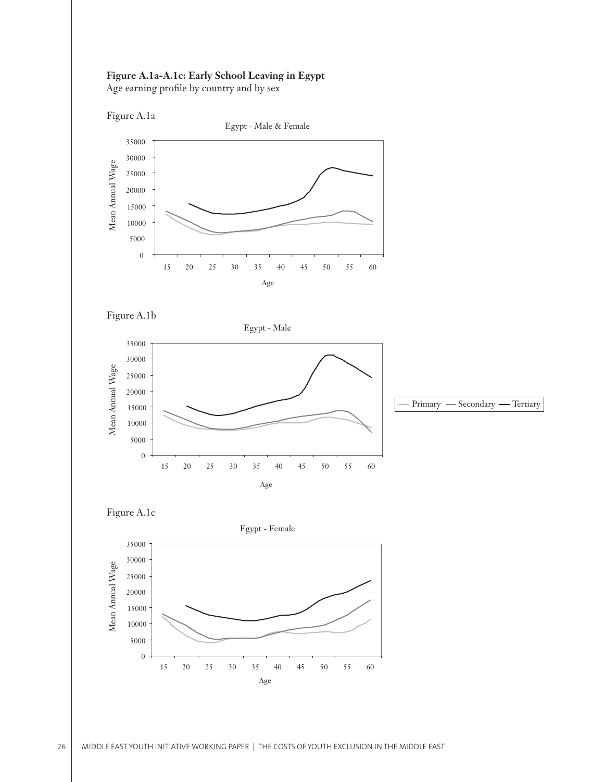## **Figure A.1a-A.1c: Early School Leaving in Egypt**

Age earning profile by country and by sex







Egypt - Male





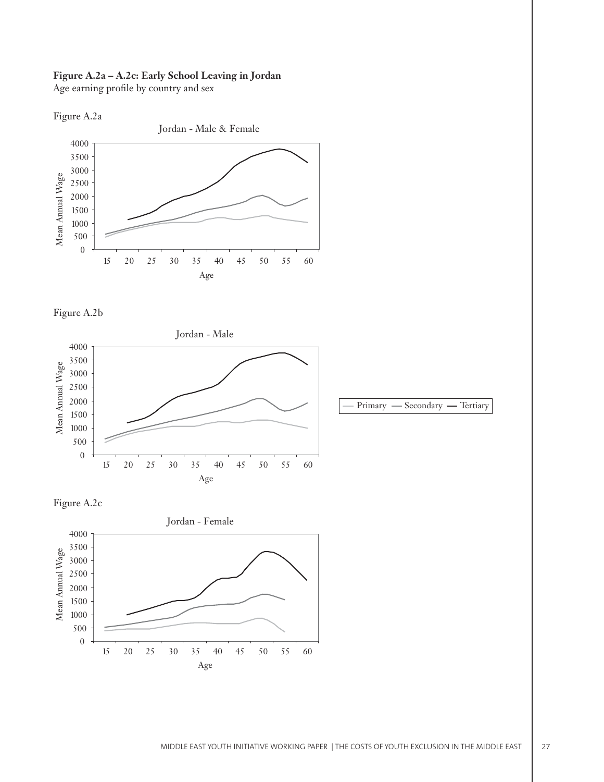# **Figure A.2a – A.2c: Early School Leaving in Jordan**

Age earning profile by country and sex





Figure A.2b







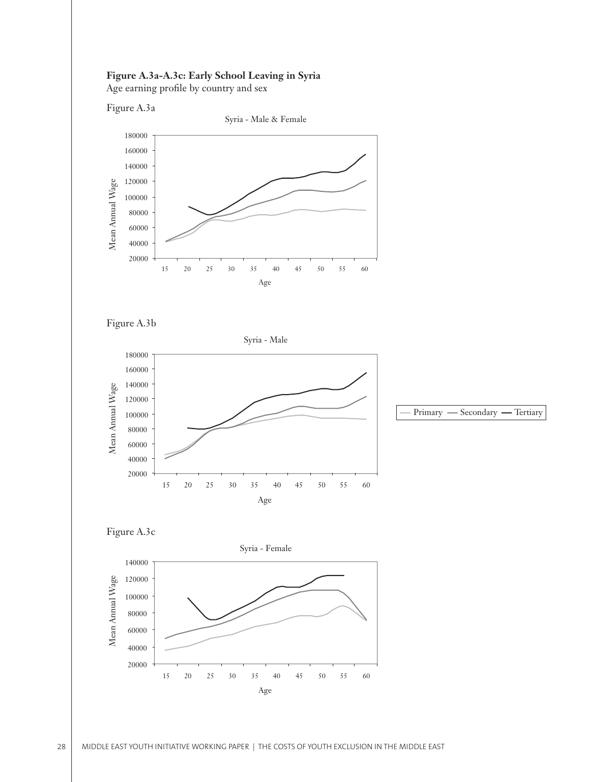## **Figure A.3a-A.3c: Early School Leaving in Syria**

Age earning profile by country and sex

Figure A.3a





Figure A.3b



Figure A.3c

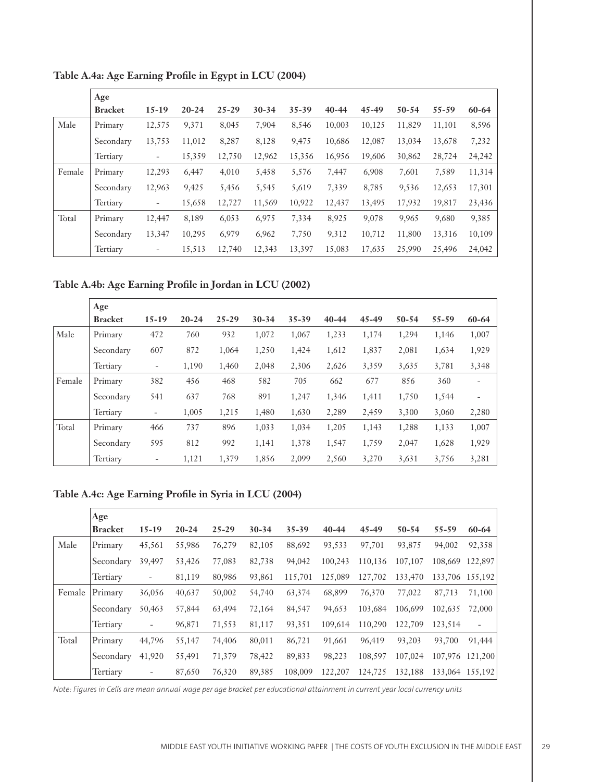|        | Age            |                          |           |           |           |        |           |           |           |           |        |
|--------|----------------|--------------------------|-----------|-----------|-----------|--------|-----------|-----------|-----------|-----------|--------|
|        | <b>Bracket</b> | $15 - 19$                | $20 - 24$ | $25 - 29$ | $30 - 34$ | 35-39  | $40 - 44$ | $45 - 49$ | $50 - 54$ | $55 - 59$ | 60-64  |
| Male   | Primary        | 12,575                   | 9,371     | 8,045     | 7,904     | 8,546  | 10,003    | 10,125    | 11,829    | 11,101    | 8,596  |
|        | Secondary      | 13,753                   | 11,012    | 8,287     | 8,128     | 9,475  | 10,686    | 12,087    | 13,034    | 13,678    | 7,232  |
|        | Tertiary       | $\overline{\phantom{a}}$ | 15,359    | 12,750    | 12,962    | 15,356 | 16,956    | 19,606    | 30,862    | 28,724    | 24,242 |
| Female | Primary        | 12,293                   | 6,447     | 4,010     | 5,458     | 5,576  | 7,447     | 6,908     | 7,601     | 7,589     | 11,314 |
|        | Secondary      | 12,963                   | 9,425     | 5,456     | 5,545     | 5,619  | 7,339     | 8,785     | 9,536     | 12,653    | 17,301 |
|        | Tertiary       | $\overline{\phantom{a}}$ | 15,658    | 12,727    | 11,569    | 10,922 | 12,437    | 13,495    | 17,932    | 19,817    | 23,436 |
| Total  | Primary        | 12,447                   | 8,189     | 6,053     | 6,975     | 7,334  | 8,925     | 9,078     | 9,965     | 9,680     | 9,385  |
|        | Secondary      | 13,347                   | 10,295    | 6,979     | 6,962     | 7,750  | 9,312     | 10,712    | 11,800    | 13,316    | 10,109 |
|        | Tertiary       | $\overline{\phantom{a}}$ | 15,513    | 12,740    | 12,343    | 13,397 | 15,083    | 17,635    | 25,990    | 25,496    | 24,042 |

Table A.4a: Age Earning Profile in Egypt in LCU (2004)

Table A.4b: Age Earning Profile in Jordan in LCU (2002)

|        | Age            |                          |           |           |           |           |           |           |           |       |                          |
|--------|----------------|--------------------------|-----------|-----------|-----------|-----------|-----------|-----------|-----------|-------|--------------------------|
|        | <b>Bracket</b> | $15 - 19$                | $20 - 24$ | $25 - 29$ | $30 - 34$ | $35 - 39$ | $40 - 44$ | $45 - 49$ | $50 - 54$ | 55-59 | 60-64                    |
| Male   | Primary        | 472                      | 760       | 932       | 1,072     | 1,067     | 1,233     | 1,174     | 1,294     | 1,146 | 1,007                    |
|        | Secondary      | 607                      | 872       | 1,064     | 1,250     | 1,424     | 1,612     | 1,837     | 2,081     | 1,634 | 1,929                    |
|        | Tertiary       | $\overline{\phantom{a}}$ | 1,190     | 1,460     | 2,048     | 2,306     | 2,626     | 3,359     | 3,635     | 3,781 | 3,348                    |
| Female | Primary        | 382                      | 456       | 468       | 582       | 705       | 662       | 677       | 856       | 360   | $\overline{\phantom{a}}$ |
|        | Secondary      | 541                      | 637       | 768       | 891       | 1,247     | 1,346     | 1,411     | 1,750     | 1,544 | $\overline{\phantom{a}}$ |
|        | Tertiary       | $\overline{\phantom{0}}$ | 1,005     | 1,215     | 1,480     | 1,630     | 2,289     | 2,459     | 3,300     | 3,060 | 2,280                    |
| Total  | Primary        | 466                      | 737       | 896       | 1,033     | 1,034     | 1,205     | 1,143     | 1,288     | 1,133 | 1,007                    |
|        | Secondary      | 595                      | 812       | 992       | 1,141     | 1,378     | 1,547     | 1,759     | 2,047     | 1,628 | 1,929                    |
|        | Tertiary       | $\overline{\phantom{0}}$ | 1,121     | 1,379     | 1,856     | 2,099     | 2,560     | 3,270     | 3,631     | 3,756 | 3,281                    |

Table A.4c: Age Earning Profile in Syria in LCU (2004)

|        | Age            |                          |           |           |           |           |           |           |           |           |                 |
|--------|----------------|--------------------------|-----------|-----------|-----------|-----------|-----------|-----------|-----------|-----------|-----------------|
|        | <b>Bracket</b> | $15 - 19$                | $20 - 24$ | $25 - 29$ | $30 - 34$ | $35 - 39$ | $40 - 44$ | $45 - 49$ | $50 - 54$ | $55 - 59$ | $60 - 64$       |
| Male   | Primary        | 45,561                   | 55,986    | 76,279    | 82,105    | 88,692    | 93,533    | 97,701    | 93,875    | 94,002    | 92,358          |
|        | Secondary      | 39,497                   | 53,426    | 77,083    | 82,738    | 94,042    | 100,243   | 110,136   | 107,107   | 108,669   | 122,897         |
|        | Tertiary       | -                        | 81,119    | 80,986    | 93,861    | 115,701   | 125,089   | 127,702   | 133,470   |           | 133,706 155,192 |
| Female | Primary        | 36,056                   | 40,637    | 50,002    | 54,740    | 63,374    | 68,899    | 76,370    | 77,022    | 87,713    | 71,100          |
|        | Secondary      | 50,463                   | 57,844    | 63,494    | 72,164    | 84,547    | 94,653    | 103,684   | 106,699   | 102,635   | 72,000          |
|        | Tertiary       | $\overline{\phantom{a}}$ | 96,871    | 71,553    | 81,117    | 93,351    | 109,614   | 110,290   | 122,709   | 123,514   | -               |
| Total  | Primary        | 44,796                   | 55,147    | 74,406    | 80,011    | 86,721    | 91,661    | 96,419    | 93,203    | 93,700    | 91,444          |
|        | Secondary      | 41,920                   | 55,491    | 71,379    | 78,422    | 89,833    | 98,223    | 108,597   | 107,024   | 107,976   | 121,200         |
|        | Tertiary       | -                        | 87,650    | 76,320    | 89,385    | 108,009   | 122,207   | 124,725   | 132.188   | 133,064   | 155,192         |

*Note: Figures in Cells are mean annual wage per age bracket per educational attainment in current year local currency units*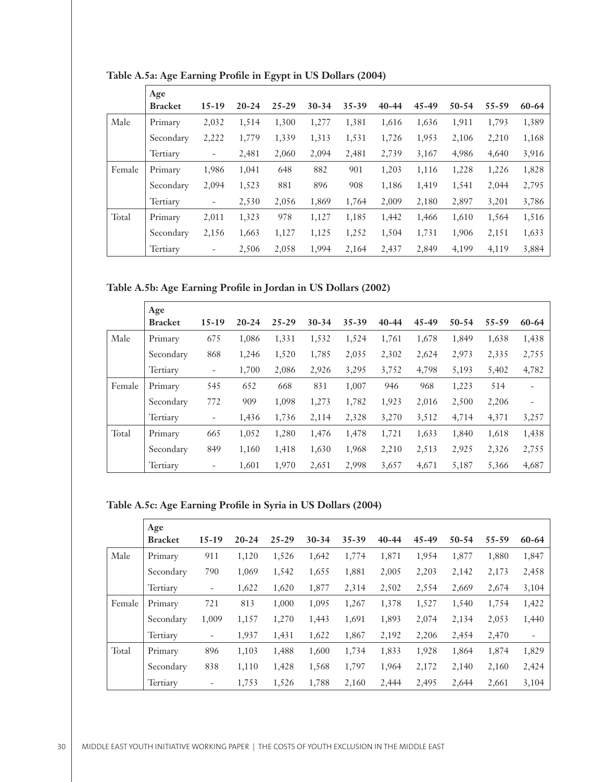|        | Age            |                          |           |           |           |           |           |           |           |           |           |
|--------|----------------|--------------------------|-----------|-----------|-----------|-----------|-----------|-----------|-----------|-----------|-----------|
|        | <b>Bracket</b> | $15 - 19$                | $20 - 24$ | $25 - 29$ | $30 - 34$ | $35 - 39$ | $40 - 44$ | $45 - 49$ | $50 - 54$ | $55 - 59$ | $60 - 64$ |
| Male   | Primary        | 2,032                    | 1,514     | 1,300     | 1,277     | 1,381     | 1,616     | 1,636     | 1,911     | 1,793     | 1,389     |
|        | Secondary      | 2,222                    | 1,779     | 1,339     | 1,313     | 1,531     | 1,726     | 1,953     | 2,106     | 2,210     | 1,168     |
|        | Tertiary       | $\overline{\phantom{a}}$ | 2,481     | 2,060     | 2,094     | 2,481     | 2,739     | 3,167     | 4,986     | 4,640     | 3,916     |
| Female | Primary        | 1,986                    | 1,041     | 648       | 882       | 901       | 1,203     | 1,116     | 1,228     | 1,226     | 1,828     |
|        | Secondary      | 2,094                    | 1,523     | 881       | 896       | 908       | 1,186     | 1,419     | 1,541     | 2,044     | 2,795     |
|        | Tertiary       | $\overline{\phantom{a}}$ | 2,530     | 2,056     | 1,869     | 1,764     | 2,009     | 2,180     | 2,897     | 3,201     | 3,786     |
| Total  | Primary        | 2,011                    | 1,323     | 978       | 1,127     | 1,185     | 1,442     | 1,466     | 1,610     | 1,564     | 1,516     |
|        | Secondary      | 2,156                    | 1,663     | 1,127     | 1,125     | 1,252     | 1,504     | 1,731     | 1,906     | 2,151     | 1,633     |
|        | Tertiary       | $\overline{\phantom{a}}$ | 2,506     | 2,058     | 1,994     | 2,164     | 2,437     | 2,849     | 4.199     | 4,119     | 3,884     |

Table A.5a: Age Earning Profile in Egypt in US Dollars (2004)

## Table A.5b: Age Earning Profile in Jordan in US Dollars (2002)

|        | Age            |                          |           |           |           |       |           |           |           |           |                          |
|--------|----------------|--------------------------|-----------|-----------|-----------|-------|-----------|-----------|-----------|-----------|--------------------------|
|        | <b>Bracket</b> | $15 - 19$                | $20 - 24$ | $25 - 29$ | $30 - 34$ | 35-39 | $40 - 44$ | $45 - 49$ | $50 - 54$ | $55 - 59$ | $60 - 64$                |
| Male   | Primary        | 675                      | 1,086     | 1,331     | 1,532     | 1,524 | 1,761     | 1,678     | 1,849     | 1,638     | 1,438                    |
|        | Secondary      | 868                      | 1,246     | 1,520     | 1,785     | 2,035 | 2,302     | 2,624     | 2,973     | 2,335     | 2,755                    |
|        | Tertiary       | $\overline{\phantom{a}}$ | 1,700     | 2,086     | 2,926     | 3,295 | 3,752     | 4,798     | 5,193     | 5,402     | 4,782                    |
| Female | Primary        | 545                      | 652       | 668       | 831       | 1,007 | 946       | 968       | 1,223     | 514       | $\overline{\phantom{a}}$ |
|        | Secondary      | 772                      | 909       | 1,098     | 1,273     | 1,782 | 1,923     | 2,016     | 2,500     | 2,206     |                          |
|        | Tertiary       | $\overline{\phantom{a}}$ | 1,436     | 1,736     | 2,114     | 2,328 | 3,270     | 3,512     | 4,714     | 4,371     | 3,257                    |
| Total  | Primary        | 665                      | 1,052     | 1,280     | 1,476     | 1,478 | 1,721     | 1,633     | 1,840     | 1,618     | 1,438                    |
|        | Secondary      | 849                      | 1,160     | 1,418     | 1,630     | 1,968 | 2,210     | 2,513     | 2,925     | 2,326     | 2,755                    |
|        | Tertiary       | $\overline{\phantom{a}}$ | 1,601     | 1,970     | 2,651     | 2,998 | 3,657     | 4,671     | 5,187     | 5,366     | 4,687                    |

# Table A.5c: Age Earning Profile in Syria in US Dollars (2004)

|        | Age            |                          |           |           |           |       |           |           |           |           |                   |
|--------|----------------|--------------------------|-----------|-----------|-----------|-------|-----------|-----------|-----------|-----------|-------------------|
|        | <b>Bracket</b> | $15 - 19$                | $20 - 24$ | $25 - 29$ | $30 - 34$ | 35-39 | $40 - 44$ | $45 - 49$ | $50 - 54$ | $55 - 59$ | $60 - 64$         |
| Male   | Primary        | 911                      | 1,120     | 1,526     | 1,642     | 1,774 | 1,871     | 1,954     | 1,877     | 1,880     | 1,847             |
|        | Secondary      | 790                      | 1,069     | 1,542     | 1,655     | 1,881 | 2,005     | 2,203     | 2,142     | 2,173     | 2,458             |
|        | Tertiary       | $\qquad \qquad -$        | 1,622     | 1,620     | 1,877     | 2,314 | 2,502     | 2,554     | 2,669     | 2,674     | 3,104             |
| Female | Primary        | 721                      | 813       | 1,000     | 1,095     | 1,267 | 1,378     | 1,527     | 1,540     | 1,754     | 1,422             |
|        | Secondary      | 1,009                    | 1,157     | 1,270     | 1,443     | 1,691 | 1,893     | 2,074     | 2,134     | 2,053     | 1,440             |
|        | Tertiary       | $\overline{\phantom{a}}$ | 1,937     | 1,431     | 1,622     | 1,867 | 2,192     | 2,206     | 2,454     | 2,470     | $\qquad \qquad -$ |
| Total  | Primary        | 896                      | 1,103     | 1,488     | 1,600     | 1,734 | 1,833     | 1,928     | 1,864     | 1,874     | 1,829             |
|        | Secondary      | 838                      | 1,110     | 1,428     | 1,568     | 1,797 | 1,964     | 2,172     | 2,140     | 2,160     | 2,424             |
|        | Tertiary       | ۰                        | 1,753     | 1,526     | 1,788     | 2,160 | 2,444     | 2,495     | 2,644     | 2,661     | 3,104             |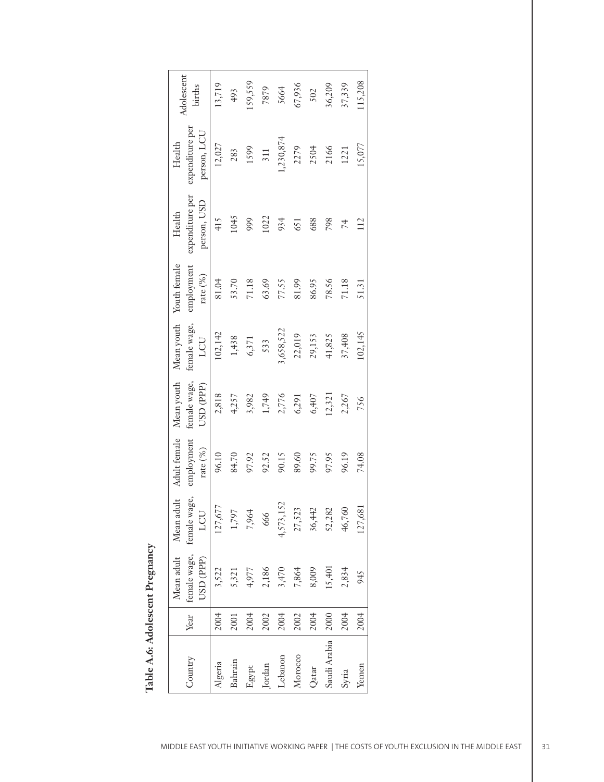| Country      | Year | Mean adult | Mean adult<br>female wage, female wage, | Adult female<br>employment | Mean youth<br>female wage, | Mean youth<br>female wage, | Youth female<br>employment | expenditure per<br>Health | expenditure per<br>Health | Adolescent<br>births |
|--------------|------|------------|-----------------------------------------|----------------------------|----------------------------|----------------------------|----------------------------|---------------------------|---------------------------|----------------------|
|              |      | USD (PPP)  | LCU                                     | rate $(\%)$                | USD (PPP)                  | LCU                        | rate $(\%)$                | person, USD               | person, LCU               |                      |
| Algeria      | 2004 | 3,522      | 127,677                                 | 96.10                      | 2,818                      | 102,142                    | 81.04                      | 415                       | 12,027                    | 13,719               |
| Bahrain      | 2001 | 5,321      | 1,797                                   | 84.70                      | 4,257                      | 1,438                      | 53.70                      | 1045                      | 283                       | 493                  |
| Egypt        | 2004 | 4,977      | 7,964                                   | 97.92                      | 3,982                      | 6,371                      | 71.18                      | 999                       | 1599                      | 159,559              |
| Jordan       | 2002 | 2,186      | 666                                     | 92.52                      | 1,749                      | 533                        | 63.69                      | 1022                      | 311                       | 7879                 |
| chanon       | 2004 | 3,470      | 52<br>4,573,1                           | 90.15                      | 2,776                      | 3,658,522                  | 77.55                      | 934                       | 1,230,874                 | 5664                 |
| Morocco      | 2002 | 7,864      | 27,523                                  | 89.60                      | 6,291                      | 22,019                     | 81.99                      | 651                       | 2279                      | 67,936               |
| Qatar        | 2004 | 8,009      | 36,442                                  | 99.75                      | 6,407                      | 29,153                     | 86.95                      | 688                       | 2504                      | 502                  |
| Saudi Arabia | 2000 | 15,401     | 52,282                                  | 97.95                      | 12,321                     | 41,825                     | 78.56                      | 798                       | 2166                      | 36,209               |
| Syria        | 2004 | 2,834      | 46,760                                  | 96.19                      | 2,267                      | 37,408                     | 71.18                      | 74                        | 1221                      | 37,339               |
| Yemen        | 2004 | 945        | .27,681                                 | 74.08                      | 756                        | 102,145                    | 51.31                      | 112                       | 15,077                    | 115,208              |

Table A.6: Adolescent Pregnancy **Table A.6: Adolescent Pregnancy**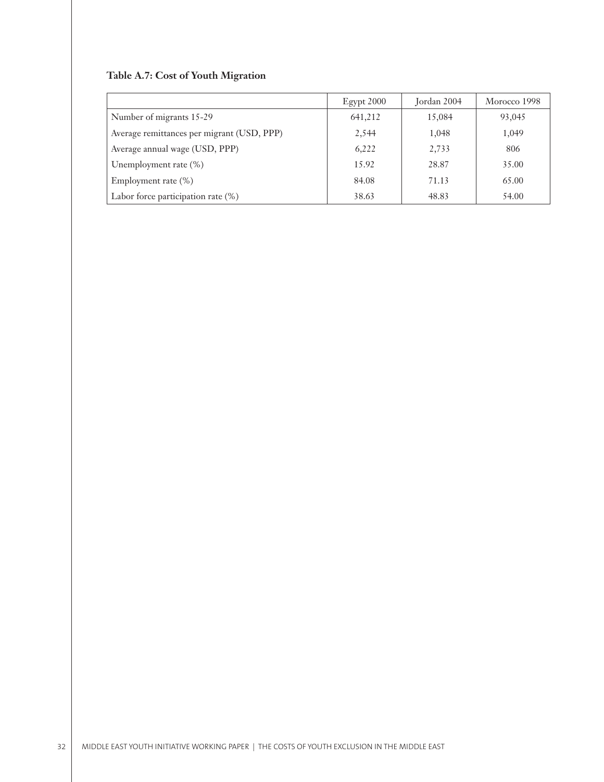# **Table A.7: Cost of Youth Migration**

|                                            | $E$ gypt 2000 | Jordan 2004 | Morocco 1998 |
|--------------------------------------------|---------------|-------------|--------------|
| Number of migrants 15-29                   | 641,212       | 15,084      | 93,045       |
| Average remittances per migrant (USD, PPP) | 2,544         | 1,048       | 1,049        |
| Average annual wage (USD, PPP)             | 6,222         | 2,733       | 806          |
| Unemployment rate (%)                      | 15.92         | 28.87       | 35.00        |
| Employment rate $(\%)$                     | 84.08         | 71.13       | 65.00        |
| Labor force participation rate (%)         | 38.63         | 48.83       | 54.00        |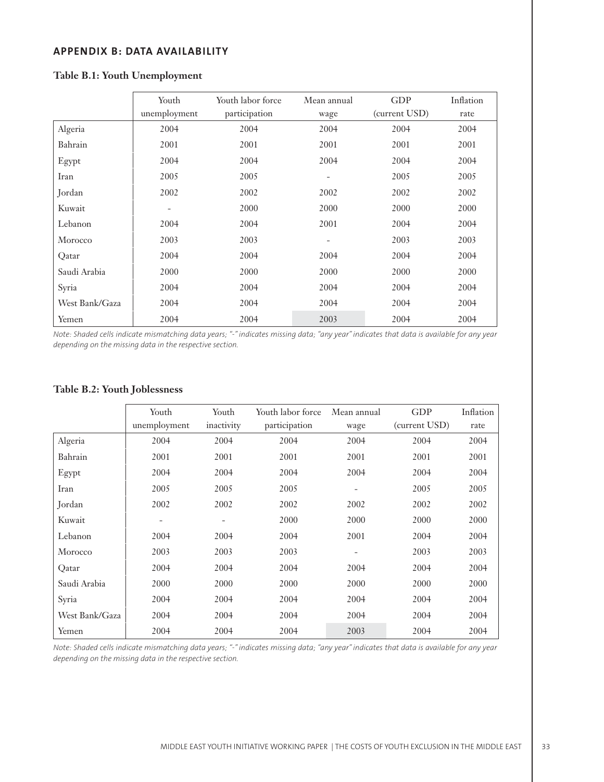## **APPENDIX B: DATA AVAILABILITY**

|                | Youth        | Youth labor force | Mean annual              | GDP           | Inflation |
|----------------|--------------|-------------------|--------------------------|---------------|-----------|
|                | unemployment | participation     | wage                     | (current USD) | rate      |
| Algeria        | 2004         | 2004              | 2004                     | 2004          | 2004      |
| Bahrain        | 2001         | 2001              | 2001                     | 2001          | 2001      |
| Egypt          | 2004         | 2004              | 2004                     | 2004          | 2004      |
| Iran           | 2005         | 2005              | $\overline{\phantom{a}}$ | 2005          | 2005      |
| Jordan         | 2002         | 2002              | 2002                     | 2002          | 2002      |
| Kuwait         |              | 2000              | 2000                     | 2000          | 2000      |
| Lebanon        | 2004         | 2004              | 2001                     | 2004          | 2004      |
| Morocco        | 2003         | 2003              | $\overline{\phantom{a}}$ | 2003          | 2003      |
| Qatar          | 2004         | 2004              | 2004                     | 2004          | 2004      |
| Saudi Arabia   | 2000         | 2000              | 2000                     | 2000          | 2000      |
| Syria          | 2004         | 2004              | 2004                     | 2004          | 2004      |
| West Bank/Gaza | 2004         | 2004              | 2004                     | 2004          | 2004      |
| Yemen          | 2004         | 2004              | 2003                     | 2004          | 2004      |

## **Table B.1: Youth Unemployment**

*Note: Shaded cells indicate mismatching data years; "-" indicates missing data; "any year" indicates that data is available for any year depending on the missing data in the respective section.*

## **Table B.2: Youth Joblessness**

|                | Youth<br>unemployment | Youth<br>inactivity | Youth labor force<br>participation | Mean annual<br>wage | <b>GDP</b><br>(current USD) | Inflation<br>rate |
|----------------|-----------------------|---------------------|------------------------------------|---------------------|-----------------------------|-------------------|
| Algeria        | 2004                  | 2004                | 2004                               | 2004                | 2004                        | 2004              |
| Bahrain        | 2001                  | 2001                | 2001                               | 2001                | 2001                        | 2001              |
| Egypt          | 2004                  | 2004                | 2004                               | 2004                | 2004                        | 2004              |
| Iran           | 2005                  | 2005                | 2005                               |                     | 2005                        | 2005              |
| Jordan         | 2002                  | 2002                | 2002                               | 2002                | 2002                        | 2002              |
| Kuwait         |                       | $\qquad \qquad -$   | 2000                               | 2000                | 2000                        | 2000              |
| Lebanon        | 2004                  | 2004                | 2004                               | 2001                | 2004                        | 2004              |
| Morocco        | 2003                  | 2003                | 2003                               |                     | 2003                        | 2003              |
| Qatar          | 2004                  | 2004                | 2004                               | 2004                | 2004                        | 2004              |
| Saudi Arabia   | 2000                  | 2000                | 2000                               | 2000                | 2000                        | 2000              |
| Syria          | 2004                  | 2004                | 2004                               | 2004                | 2004                        | 2004              |
| West Bank/Gaza | 2004                  | 2004                | 2004                               | 2004                | 2004                        | 2004              |
| Yemen          | 2004                  | 2004                | 2004                               | 2003                | 2004                        | 2004              |

*Note: Shaded cells indicate mismatching data years; "-" indicates missing data; "any year" indicates that data is available for any year depending on the missing data in the respective section.*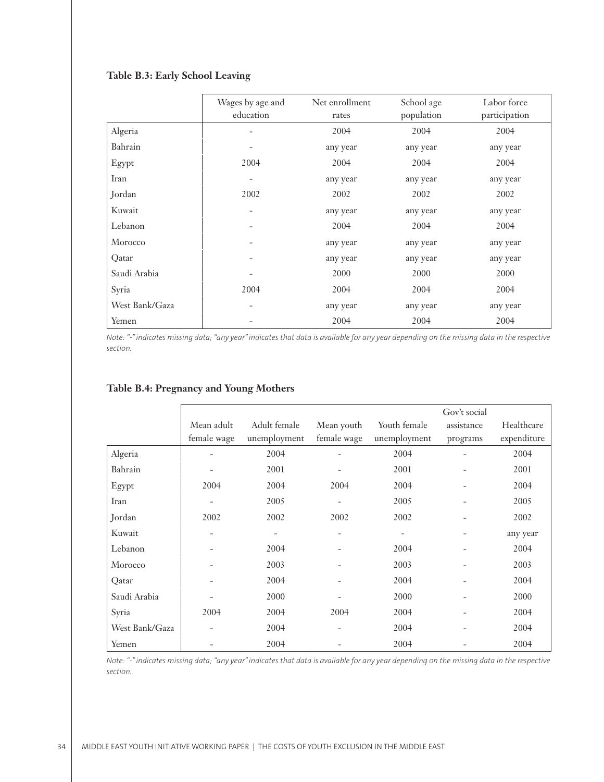## **Table B.3: Early School Leaving**

|                | Wages by age and<br>education | Net enrollment<br>rates | School age<br>population | Labor force<br>participation |
|----------------|-------------------------------|-------------------------|--------------------------|------------------------------|
| Algeria        | -                             | 2004                    | 2004                     | 2004                         |
| Bahrain        |                               | any year                | any year                 | any year                     |
| Egypt          | 2004                          | 2004                    | 2004                     | 2004                         |
| Iran           | $\qquad \qquad -$             | any year                | any year                 | any year                     |
| Jordan         | 2002                          | 2002                    | 2002                     | 2002                         |
| Kuwait         | $\overline{\phantom{a}}$      | any year                | any year                 | any year                     |
| Lebanon        | $\qquad \qquad -$             | 2004                    | 2004                     | 2004                         |
| Morocco        | $\overline{\phantom{a}}$      | any year                | any year                 | any year                     |
| Qatar          | $\overline{\phantom{a}}$      | any year                | any year                 | any year                     |
| Saudi Arabia   | $\overline{\phantom{a}}$      | 2000                    | 2000                     | 2000                         |
| Syria          | 2004                          | 2004                    | 2004                     | 2004                         |
| West Bank/Gaza | $\overline{\phantom{0}}$      | any year                | any year                 | any year                     |
| Yemen          |                               | 2004                    | 2004                     | 2004                         |

*Note: "-" indicates missing data; "any year" indicates that data is available for any year depending on the missing data in the respective section.*

|                |             |              |             |              | Gov't social |             |
|----------------|-------------|--------------|-------------|--------------|--------------|-------------|
|                | Mean adult  | Adult female | Mean youth  | Youth female | assistance   | Healthcare  |
|                | female wage | unemployment | female wage | unemployment | programs     | expenditure |
| Algeria        |             | 2004         |             | 2004         |              | 2004        |
| Bahrain        |             | 2001         |             | 2001         |              | 2001        |
| Egypt          | 2004        | 2004         | 2004        | 2004         |              | 2004        |
| Iran           |             | 2005         |             | 2005         |              | 2005        |
| Jordan         | 2002        | 2002         | 2002        | 2002         | -            | 2002        |
| Kuwait         |             |              |             |              |              | any year    |
| Lebanon        |             | 2004         |             | 2004         |              | 2004        |
| Morocco        |             | 2003         |             | 2003         |              | 2003        |
| Qatar          |             | 2004         |             | 2004         |              | 2004        |
| Saudi Arabia   |             | 2000         |             | 2000         |              | 2000        |
| Syria          | 2004        | 2004         | 2004        | 2004         |              | 2004        |
| West Bank/Gaza |             | 2004         |             | 2004         |              | 2004        |
| Yemen          |             | 2004         |             | 2004         |              | 2004        |

## **Table B.4: Pregnancy and Young Mothers**

*Note: "-" indicates missing data; "any year" indicates that data is available for any year depending on the missing data in the respective section.*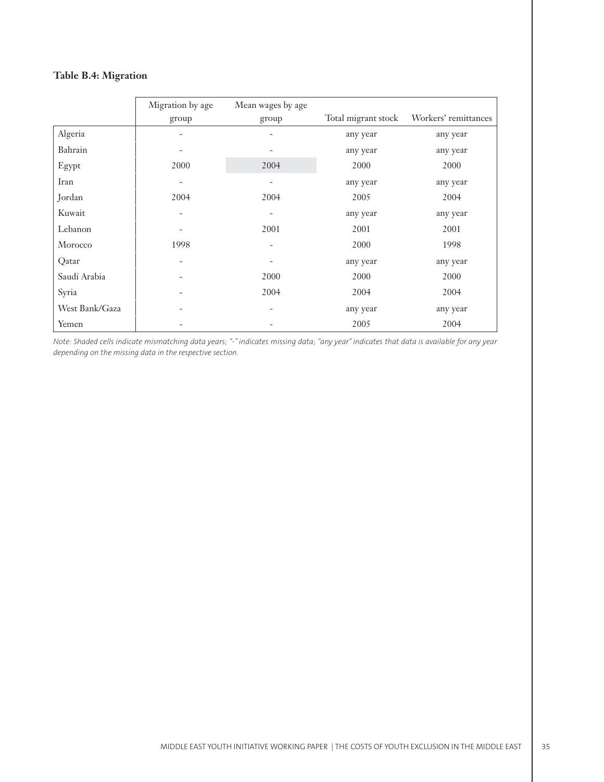# **Table B.4: Migration**

|                | Migration by age         | Mean wages by age        | Total migrant stock | Workers' remittances |
|----------------|--------------------------|--------------------------|---------------------|----------------------|
|                | group                    | group                    |                     |                      |
| Algeria        |                          | $\overline{\phantom{0}}$ | any year            | any year             |
| Bahrain        |                          |                          | any year            | any year             |
| Egypt          | 2000                     | 2004                     | 2000                | 2000                 |
| Iran           | $\qquad \qquad -$        |                          | any year            | any year             |
| Jordan         | 2004                     | 2004                     | 2005                | 2004                 |
| Kuwait         | $\qquad \qquad -$        | $\overline{\phantom{0}}$ | any year            | any year             |
| Lebanon        | $\overline{\phantom{a}}$ | 2001                     | 2001                | 2001                 |
| Morocco        | 1998                     |                          | 2000                | 1998                 |
| Qatar          | $\overline{\phantom{a}}$ | $\overline{\phantom{a}}$ | any year            | any year             |
| Saudi Arabia   |                          | 2000                     | 2000                | 2000                 |
| Syria          |                          | 2004                     | 2004                | 2004                 |
| West Bank/Gaza |                          |                          | any year            | any year             |
| Yemen          |                          |                          | 2005                | 2004                 |

*Note: Shaded cells indicate mismatching data years; "-" indicates missing data; "any year" indicates that data is available for any year depending on the missing data in the respective section.*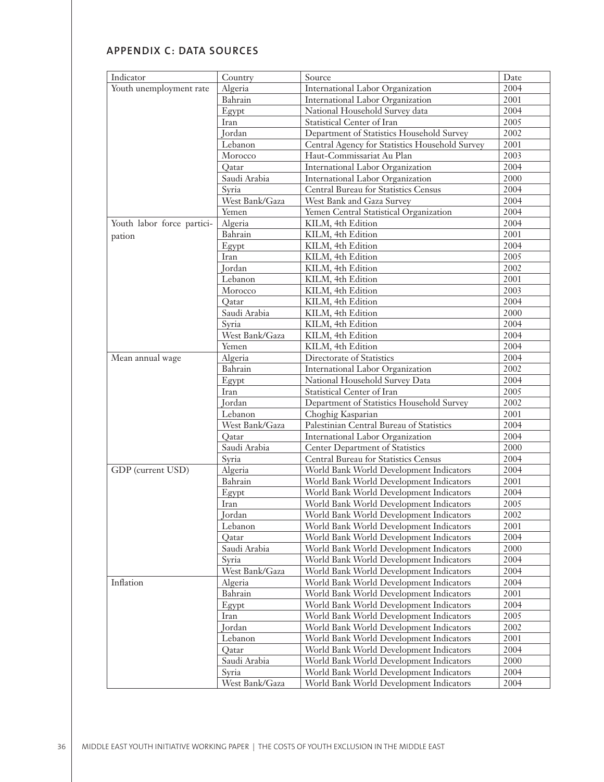# **APPENDIX C: DATA SOURCES**

| Indicator                  | Country        | Source                                         | Date |
|----------------------------|----------------|------------------------------------------------|------|
| Youth unemployment rate    | Algeria        | International Labor Organization               | 2004 |
|                            | Bahrain        | International Labor Organization               | 2001 |
|                            | Egypt          | National Household Survey data                 | 2004 |
|                            | Iran           | Statistical Center of Iran                     | 2005 |
|                            | Jordan         | Department of Statistics Household Survey      | 2002 |
|                            | Lebanon        | Central Agency for Statistics Household Survey | 2001 |
|                            | Morocco        | Haut-Commissariat Au Plan                      | 2003 |
|                            | Oatar          | International Labor Organization               | 2004 |
|                            | Saudi Arabia   | International Labor Organization               | 2000 |
|                            | Syria          | Central Bureau for Statistics Census           | 2004 |
|                            | West Bank/Gaza | West Bank and Gaza Survey                      | 2004 |
|                            | Yemen          | Yemen Central Statistical Organization         | 2004 |
| Youth labor force partici- | Algeria        | KILM, 4th Edition                              | 2004 |
| pation                     | Bahrain        | KILM, 4th Edition                              | 2001 |
|                            | Egypt          | KILM, 4th Edition                              | 2004 |
|                            | Iran           | KILM, 4th Edition                              | 2005 |
|                            | Jordan         | KILM, 4th Edition                              | 2002 |
|                            | Lebanon        | KILM, 4th Edition                              | 2001 |
|                            | Morocco        | KILM, 4th Edition                              | 2003 |
|                            | Qatar          | KILM, 4th Edition                              | 2004 |
|                            | Saudi Arabia   | KILM, 4th Edition                              | 2000 |
|                            | Syria          | KILM, 4th Edition                              | 2004 |
|                            | West Bank/Gaza | KILM, 4th Edition                              | 2004 |
|                            | Yemen          | KILM, 4th Edition                              | 2004 |
| Mean annual wage           | Algeria        | Directorate of Statistics                      | 2004 |
|                            | Bahrain        | International Labor Organization               | 2002 |
|                            | Egypt          | National Household Survey Data                 | 2004 |
|                            | Iran           | Statistical Center of Iran                     | 2005 |
|                            | Jordan         | Department of Statistics Household Survey      | 2002 |
|                            | Lebanon        | Choghig Kasparian                              | 2001 |
|                            | West Bank/Gaza | Palestinian Central Bureau of Statistics       | 2004 |
|                            | Qatar          | International Labor Organization               | 2004 |
|                            | Saudi Arabia   | Center Department of Statistics                | 2000 |
|                            | Syria          | Central Bureau for Statistics Census           | 2004 |
| GDP (current USD)          | Algeria        | World Bank World Development Indicators        | 2004 |
|                            | Bahrain        | World Bank World Development Indicators        | 2001 |
|                            | Egypt          | World Bank World Development Indicators        | 2004 |
|                            | Iran           | World Bank World Development Indicators        | 2005 |
|                            | Jordan         | World Bank World Development Indicators        | 2002 |
|                            | Lebanon        | World Bank World Development Indicators        | 2001 |
|                            | Oatar          | World Bank World Development Indicators        | 2004 |
|                            | Saudi Arabia   | World Bank World Development Indicators        | 2000 |
|                            | Syria          | World Bank World Development Indicators        | 2004 |
|                            | West Bank/Gaza | World Bank World Development Indicators        | 2004 |
| Inflation                  | Algeria        | World Bank World Development Indicators        | 2004 |
|                            | Bahrain        | World Bank World Development Indicators        | 2001 |
|                            | Egypt          | World Bank World Development Indicators        | 2004 |
|                            | Iran           | World Bank World Development Indicators        | 2005 |
|                            | Jordan         | World Bank World Development Indicators        | 2002 |
|                            | Lebanon        | World Bank World Development Indicators        | 2001 |
|                            | Qatar          | World Bank World Development Indicators        | 2004 |
|                            | Saudi Arabia   | World Bank World Development Indicators        | 2000 |
|                            | Syria          | World Bank World Development Indicators        | 2004 |
|                            | West Bank/Gaza | World Bank World Development Indicators        | 2004 |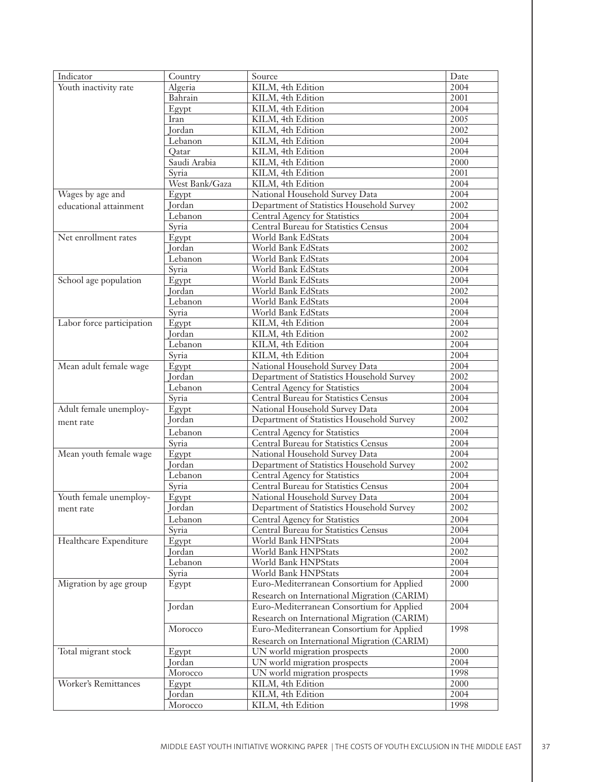| Indicator                   | Country        | Source                                      | Date              |
|-----------------------------|----------------|---------------------------------------------|-------------------|
| Youth inactivity rate       | Algeria        | KILM, 4th Edition                           | 2004              |
|                             | Bahrain        | KILM, 4th Edition                           | 2001              |
|                             | Egypt          | KILM, 4th Edition                           | 2004              |
|                             | Iran           | KILM, 4th Edition                           | 2005              |
|                             | Jordan         | KILM, 4th Edition                           | 2002              |
|                             | Lebanon        | KILM, 4th Edition                           | 2004              |
|                             | Qatar          | KILM, 4th Edition                           | 2004              |
|                             | Saudi Arabia   | KILM, 4th Edition                           | 2000              |
|                             | Syria          | KILM, 4th Edition                           | 2001              |
|                             | West Bank/Gaza | KILM, 4th Edition                           | $\frac{1}{2}004$  |
|                             |                |                                             | 2004              |
| Wages by age and            | Egypt          | National Household Survey Data              |                   |
| educational attainment      | Jordan         | Department of Statistics Household Survey   | 2002              |
|                             | Lebanon        | Central Agency for Statistics               | 2004              |
|                             | Syria          | Central Bureau for Statistics Census        | 2004              |
| Net enrollment rates        | Egypt          | World Bank EdStats                          | 2004              |
|                             | Jordan         | World Bank EdStats                          | 2002              |
|                             | Lebanon        | World Bank EdStats                          | 2004              |
|                             | Syria          | World Bank EdStats                          | 2004              |
| School age population       | Egypt          | World Bank EdStats                          | 2004              |
|                             | Jordan         | World Bank EdStats                          | 2002              |
|                             | Lebanon        | World Bank EdStats                          | 2004              |
|                             | Syria          | World Bank EdStats                          | 2004              |
| Labor force participation   | Egypt          | KILM, 4th Edition                           | 2004              |
|                             | Jordan         | KILM, 4th Edition                           | 2002              |
|                             | Lebanon        | KILM, 4th Edition                           | 2004              |
|                             | Syria          | KILM, 4th Edition                           | 2004              |
| Mean adult female wage      | Egypt          | National Household Survey Data              | 2004              |
|                             | Jordan         | Department of Statistics Household Survey   | 2002              |
|                             | Lebanon        | Central Agency for Statistics               | 2004              |
|                             | Syria          | Central Bureau for Statistics Census        | 2004              |
| Adult female unemploy-      | Egypt          | National Household Survey Data              | 2004              |
| ment rate                   | Jordan         | Department of Statistics Household Survey   | 2002              |
|                             | Lebanon        | Central Agency for Statistics               | 2004              |
|                             | Syria          | Central Bureau for Statistics Census        | 2004              |
| Mean youth female wage      | Egypt          | National Household Survey Data              | 2004              |
|                             | Jordan         |                                             | 2002              |
|                             |                | Department of Statistics Household Survey   | 2004              |
|                             | Lebanon        | Central Agency for Statistics               | $\overline{2004}$ |
|                             | Syria          | Central Bureau for Statistics Census        |                   |
| Youth female unemploy-      | Egypt          | National Household Survey Data              | 2004              |
| ment rate                   | <b>Jordan</b>  | Department of Statistics Household Survey   | 2002              |
|                             | Lebanon        | Central Agency for Statistics               | 2004              |
|                             | Syria          | Central Bureau for Statistics Census        | 2004              |
| Healthcare Expenditure      | Egypt          | World Bank HNPStats                         | 2004              |
|                             | Jordan         | World Bank HNPStats                         | $\overline{2002}$ |
|                             | Lebanon        | World Bank HNPStats                         | 2004              |
|                             | Syria          | World Bank HNPStats                         | 2004              |
| Migration by age group      | Egypt          | Euro-Mediterranean Consortium for Applied   | 2000              |
|                             |                | Research on International Migration (CARIM) |                   |
|                             | Jordan         | Euro-Mediterranean Consortium for Applied   | 2004              |
|                             |                | Research on International Migration (CARIM) |                   |
|                             | Morocco        | Euro-Mediterranean Consortium for Applied   | 1998              |
|                             |                | Research on International Migration (CARIM) |                   |
| Total migrant stock         | Egypt          | UN world migration prospects                | 2000              |
|                             | Jordan         | UN world migration prospects                | 2004              |
|                             | Morocco        | UN world migration prospects                | 1998              |
| <b>Worker's Remittances</b> |                |                                             | 2000              |
|                             | Egypt          | KILM, 4th Edition                           | 2004              |
|                             | Jordan         | KILM, 4th Edition                           |                   |
|                             | Morocco        | KILM, 4th Edition                           | 1998              |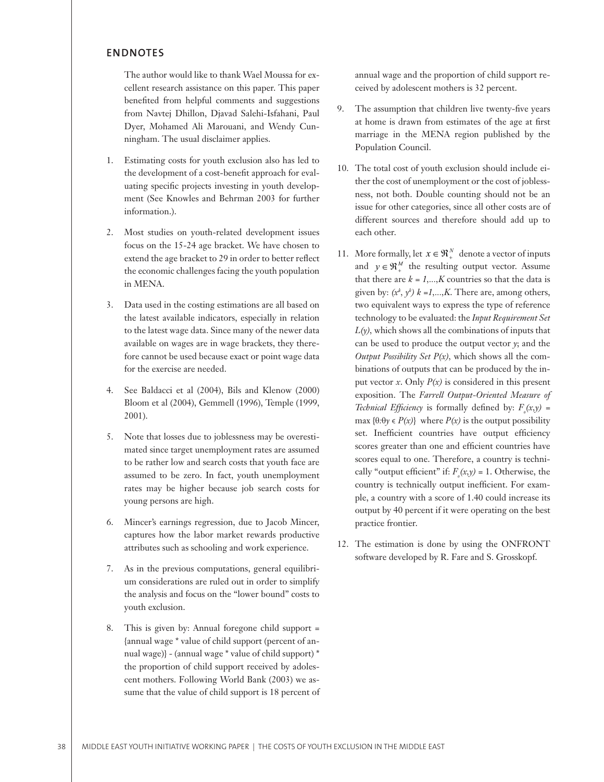### **ENDNOTES**

 The author would like to thank Wael Moussa for excellent research assistance on this paper. This paper benefited from helpful comments and suggestions from Navtej Dhillon, Djavad Salehi-Isfahani, Paul Dyer, Mohamed Ali Marouani, and Wendy Cunningham. The usual disclaimer applies.

- Estimating costs for youth exclusion also has led to 1. the development of a cost-benefit approach for evaluating specific projects investing in youth development (See Knowles and Behrman 2003 for further information.).
- Most studies on youth-related development issues 2. focus on the 15-24 age bracket. We have chosen to extend the age bracket to 29 in order to better reflect the economic challenges facing the youth population in MENA.
- Data used in the costing estimations are all based on 3. the latest available indicators, especially in relation to the latest wage data. Since many of the newer data available on wages are in wage brackets, they therefore cannot be used because exact or point wage data for the exercise are needed.
- See Baldacci et al (2004), Bils and Klenow (2000) 4. Bloom et al (2004), Gemmell (1996), Temple (1999, 2001).
- Note that losses due to joblessness may be overesti-5. mated since target unemployment rates are assumed to be rather low and search costs that youth face are assumed to be zero. In fact, youth unemployment rates may be higher because job search costs for young persons are high.
- Mincer's earnings regression, due to Jacob Mincer, 6. captures how the labor market rewards productive attributes such as schooling and work experience.
- As in the previous computations, general equilibri-7. um considerations are ruled out in order to simplify the analysis and focus on the "lower bound" costs to youth exclusion.
- This is given by: Annual foregone child support = 8. {annual wage \* value of child support (percent of annual wage)} - (annual wage \* value of child support) \* the proportion of child support received by adolescent mothers. Following World Bank (2003) we assume that the value of child support is 18 percent of

annual wage and the proportion of child support received by adolescent mothers is 32 percent.

- The assumption that children live twenty-five years at home is drawn from estimates of the age at first marriage in the MENA region published by the Population Council. 9.
- 10. The total cost of youth exclusion should include either the cost of unemployment or the cost of joblessness, not both. Double counting should not be an issue for other categories, since all other costs are of different sources and therefore should add up to each other.
- 11. More formally, let  $x \in \mathbb{R}^N_+$  denote a vector of inputs and  $y \in \mathfrak{R}_{+}^{M}$  the resulting output vector. Assume that there are  $k = 1,...,K$  countries so that the data is given by:  $(x^k, y^k)$   $k = 1,...,K$ . There are, among others, two equivalent ways to express the type of reference technology to be evaluated: the *Input Requirement Set L(y),* which shows all the combinations of inputs that can be used to produce the output vector  $\gamma$ ; and the *Output Possibility Set P(x),* which shows all the combinations of outputs that can be produced by the input vector  $x$ . Only  $P(x)$  is considered in this present exposition. The *Farrell Output-Oriented Measure of Technical Efficiency* is formally defined by:  $F_o(x,y)$  =  $max \{ \theta : \theta \lor \in P(x) \}$  where  $P(x)$  is the output possibility set. Inefficient countries have output efficiency scores greater than one and efficient countries have scores equal to one. Therefore, a country is technically "output efficient" if:  $F_o(x,y) = 1$ . Otherwise, the country is technically output inefficient. For example, a country with a score of 1.40 could increase its output by 40 percent if it were operating on the best practice frontier.
- 12. The estimation is done by using the ONFRONT software developed by R. Fare and S. Grosskopf.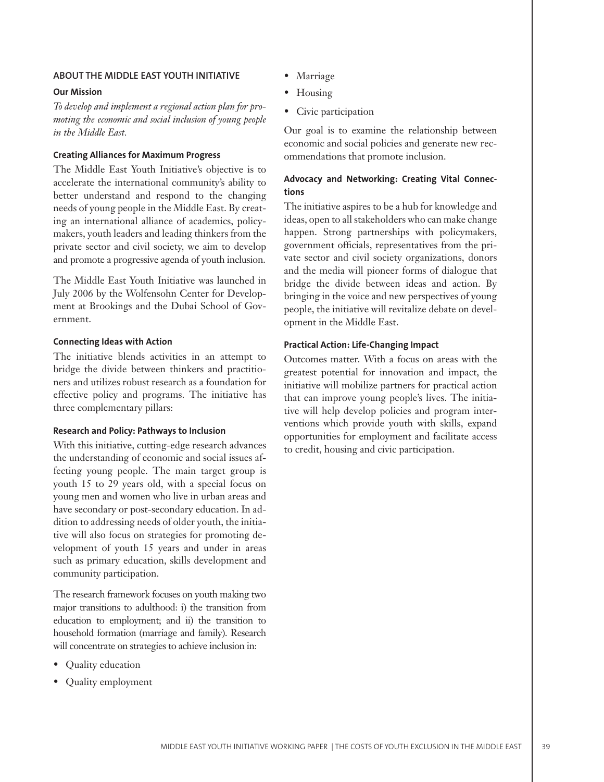## **ABOUT THE MIDDLE EAST YOUTH INITIATIVE**

#### **Our Mission**

*To develop and implement a regional action plan for promoting the economic and social inclusion of young people in the Middle East.*

#### **Creating Alliances for Maximum Progress**

The Middle East Youth Initiative's objective is to accelerate the international community's ability to better understand and respond to the changing needs of young people in the Middle East. By creating an international alliance of academics, policymakers, youth leaders and leading thinkers from the private sector and civil society, we aim to develop and promote a progressive agenda of youth inclusion.

The Middle East Youth Initiative was launched in July 2006 by the Wolfensohn Center for Development at Brookings and the Dubai School of Government.

#### **Connecting Ideas with Action**

The initiative blends activities in an attempt to bridge the divide between thinkers and practitioners and utilizes robust research as a foundation for effective policy and programs. The initiative has three complementary pillars:

#### **Research and Policy: Pathways to Inclusion**

With this initiative, cutting-edge research advances the understanding of economic and social issues affecting young people. The main target group is youth 15 to 29 years old, with a special focus on young men and women who live in urban areas and have secondary or post-secondary education. In addition to addressing needs of older youth, the initiative will also focus on strategies for promoting development of youth 15 years and under in areas such as primary education, skills development and community participation.

The research framework focuses on youth making two major transitions to adulthood: i) the transition from education to employment; and ii) the transition to household formation (marriage and family). Research will concentrate on strategies to achieve inclusion in:

- Quality education •
- Quality employment
- Marriage
- Housing
- Civic participation •

Our goal is to examine the relationship between economic and social policies and generate new recommendations that promote inclusion.

## **Advocacy and Networking: Creating Vital Connections**

The initiative aspires to be a hub for knowledge and ideas, open to all stakeholders who can make change happen. Strong partnerships with policymakers, government officials, representatives from the private sector and civil society organizations, donors and the media will pioneer forms of dialogue that bridge the divide between ideas and action. By bringing in the voice and new perspectives of young people, the initiative will revitalize debate on development in the Middle East.

#### **Practical Action: Life-Changing Impact**

Outcomes matter. With a focus on areas with the greatest potential for innovation and impact, the initiative will mobilize partners for practical action that can improve young people's lives. The initiative will help develop policies and program interventions which provide youth with skills, expand opportunities for employment and facilitate access to credit, housing and civic participation.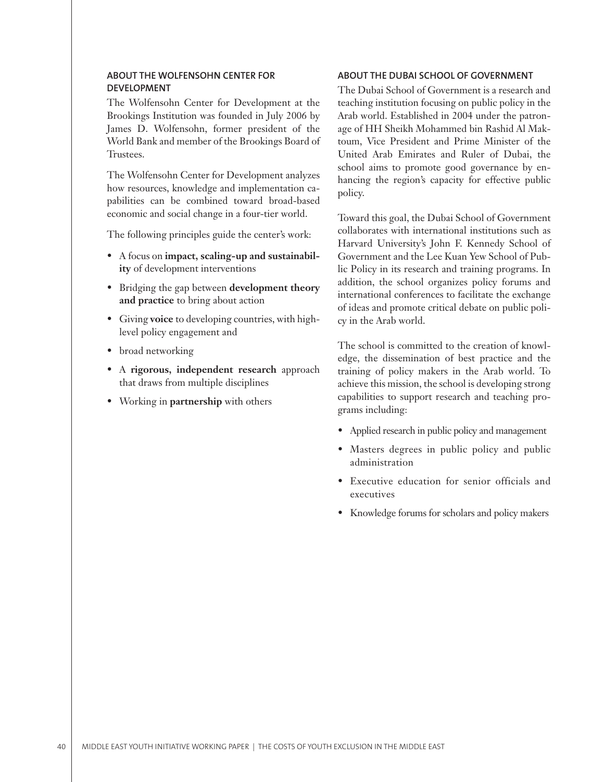# **ABOUT THE WOLFENSOHN CENTER FOR DEVELOPMENT**

The Wolfensohn Center for Development at the Brookings Institution was founded in July 2006 by James D. Wolfensohn, former president of the World Bank and member of the Brookings Board of Trustees.

The Wolfensohn Center for Development analyzes how resources, knowledge and implementation capabilities can be combined toward broad-based economic and social change in a four-tier world.

The following principles guide the center's work:

- A focus on **impact, scaling-up and sustainabil- ity** of development interventions
- Bridging the gap between **development theory and practice** to bring about action
- Giving **voice** to developing countries, with high-• level policy engagement and
- broad networking
- A **rigorous, independent research** approach that draws from multiple disciplines
- Working in **partnership** with others •

## **ABOUT THE DUBAI SCHOOL OF GOVERNMENT**

The Dubai School of Government is a research and teaching institution focusing on public policy in the Arab world. Established in 2004 under the patronage of HH Sheikh Mohammed bin Rashid Al Maktoum, Vice President and Prime Minister of the United Arab Emirates and Ruler of Dubai, the school aims to promote good governance by enhancing the region's capacity for effective public policy.

Toward this goal, the Dubai School of Government collaborates with international institutions such as Harvard University's John F. Kennedy School of Government and the Lee Kuan Yew School of Public Policy in its research and training programs. In addition, the school organizes policy forums and international conferences to facilitate the exchange of ideas and promote critical debate on public policy in the Arab world.

The school is committed to the creation of knowledge, the dissemination of best practice and the training of policy makers in the Arab world. To achieve this mission, the school is developing strong capabilities to support research and teaching programs including:

- Applied research in public policy and management
- Masters degrees in public policy and public administration •
- Executive education for senior officials and executives
- Knowledge forums for scholars and policy makers